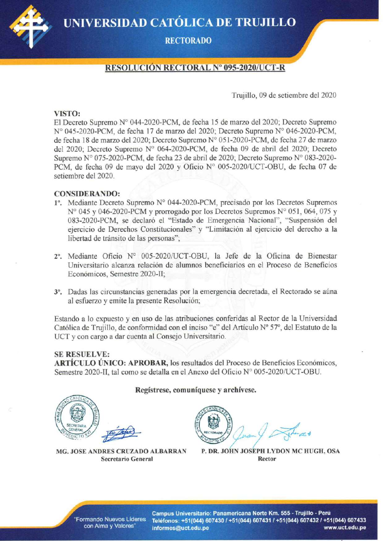UNIVERSIDAD CATÓLICA DE TRUJILLO



## **RECTORADO**

# **RESOLUCIÓN RECTORAL Nº 095-2020/UCT-R**

Trujillo, 09 de setiembre del 2020

#### VISTO:

El Decreto Supremo Nº 044-2020-PCM, de fecha 15 de marzo del 2020; Decreto Supremo N° 045-2020-PCM, de fecha 17 de marzo del 2020; Decreto Supremo N° 046-2020-PCM, de fecha 18 de marzo del 2020; Decreto Supremo Nº 051-2020-PCM, de fecha 27 de marzo del 2020; Decreto Supremo Nº 064-2020-PCM, de fecha 09 de abril del 2020; Decreto Supremo N° 075-2020-PCM, de fecha 23 de abril de 2020; Decreto Supremo N° 083-2020-PCM, de fecha 09 de mayo del 2020 y Oficio N° 005-2020/UCT-OBU, de fecha 07 de setiembre del 2020.

#### **CONSIDERANDO:**

- 1°. Mediante Decreto Supremo N° 044-2020-PCM, precisado por los Decretos Supremos N° 045 y 046-2020-PCM y prorrogado por los Decretos Supremos N° 051, 064, 075 y 083-2020-PCM, se declaró el "Estado de Emergencia Nacional", "Suspensión del ejercicio de Derechos Constitucionales" y "Limitación al ejercicio del derecho a la libertad de tránsito de las personas";
- 2º. Mediante Oficio Nº 005-2020/UCT-OBU, la Jefe de la Oficina de Bienestar Universitario alcanza relación de alumnos beneficiarios en el Proceso de Beneficios Económicos, Semestre 2020-II;
- 3<sup>°</sup>. Dadas las circunstancias generadas por la emergencia decretada, el Rectorado se aúna al esfuerzo y emite la presente Resolución;

Estando a lo expuesto y en uso de las atribuciones conferidas al Rector de la Universidad Católica de Trujillo, de conformidad con el inciso "e" del Artículo Nº 57º, del Estatuto de la UCT y con cargo a dar cuenta al Consejo Universitario.

#### **SE RESUELVE:**

ARTÍCULO ÚNICO: APROBAR, los resultados del Proceso de Beneficios Económicos, Semestre 2020-II, tal como se detalla en el Anexo del Oficio Nº 005-2020/UCT-OBU.

Regístrese, comuníquese y archívese.

P. DR. JOHN JOSEPH LYDON MC HUGH, OSA **Rector** 

Campus Universitario: Panamericana Norte Km. 555 - Trujillo - Perú Teléfonos: +51(044) 607430 / +51(044) 607431 / +51(044) 607432 / +51(044) 607433 informes@uct.edu.pe www.uct.edu.pe

MG. JOSE ANDRES CRUZADO ALBARRAN **Secretario General**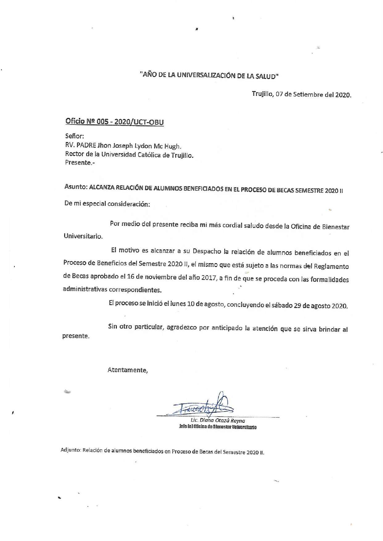# "AÑO DE LA UNIVERSALIZACIÓN DE LA SALUD"

Trujillo, 07 de Setiembre del 2020.

# Oficio Nº 005 - 2020/UCT-OBU

Señor: RV. PADRE Jhon Joseph Lydon Mc Hugh. Rector de la Universidad Católica de Trujillo. Presente.-

Asunto: ALCANZA RELACIÓN DE ALUMNOS BENEFICIADOS EN EL PROCESO DE BECAS SEMESTRE 2020 II De mi especial consideración:

Por medio del presente reciba mi más cordial saludo desde la Oficina de Bienestar Universitario.

El motivo es alcanzar a su Despacho la relación de alumnos beneficiados en el Proceso de Beneficios del Semestre 2020 II, el mismo que está sujeto a las normas del Reglamento de Becas aprobado el 16 de noviembre del año 2017, a fin de que se proceda con las formalidades administrativas correspondientes.

El proceso se inició el lunes 10 de agosto, concluyendo el sábado 29 de agosto 2020.

Sin otro particular, agradezco por anticipado la atención que se sirva brindar al presente.

Atentamente,

Lic. Diana Otazú Reyna Jefe (e) Oficina de Blenestar Universitario

Adjunto: Relación de alumnos beneficiados en Proceso de Becas del Semestre 2020 II.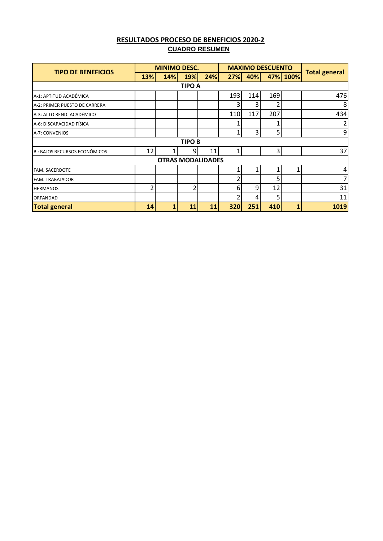| <b>RESULTADOS PROCESO DE BENEFICIOS 2020-2</b> |  |
|------------------------------------------------|--|
| <b>CUADRO RESUMEN</b>                          |  |

| <b>TIPO DE BENEFICIOS</b>           | <b>MINIMO DESC.</b> |            | <b>MAXIMO DESCUENTO</b> |                          |     |     |     |          |                      |
|-------------------------------------|---------------------|------------|-------------------------|--------------------------|-----|-----|-----|----------|----------------------|
|                                     | 13%                 | <b>14%</b> | 19%                     | 24%                      | 27% | 40% |     | 47% 100% | <b>Total general</b> |
|                                     |                     |            | <b>TIPO A</b>           |                          |     |     |     |          |                      |
| A-1: APTITUD ACADÉMICA              |                     |            |                         |                          | 193 | 114 | 169 |          | 476                  |
| A-2: PRIMER PUESTO DE CARRERA       |                     |            |                         |                          |     |     | 2   |          | 8 <sup>2</sup>       |
| A-3: ALTO REND. ACADÉMICO           |                     |            |                         |                          | 110 | 117 | 207 |          | 434                  |
| A-6: DISCAPACIDAD FÍSICA            |                     |            |                         |                          |     |     |     |          | 2                    |
| A-7: CONVENIOS                      |                     |            |                         |                          |     | 3   | 5   |          | $\vert 9 \vert$      |
|                                     |                     |            | <b>TIPO B</b>           |                          |     |     |     |          |                      |
| <b>B: BAJOS RECURSOS ECONÓMICOS</b> | 12                  |            | 9                       | 11                       |     |     | 3   |          | 37                   |
|                                     |                     |            |                         | <b>OTRAS MODALIDADES</b> |     |     |     |          |                      |
| <b>FAM. SACERDOTE</b>               |                     |            |                         |                          |     |     |     |          | $\vert 4 \vert$      |
| <b>FAM. TRABAJADOR</b>              |                     |            |                         |                          |     |     | 5   |          | 7                    |
| <b>HERMANOS</b>                     | 2                   |            | 2                       |                          | 6   | 9   | 12  |          | 31                   |
| <b>ORFANDAD</b>                     |                     |            |                         |                          |     | 4   | 5   |          | 11                   |
| <b>Total general</b>                | 14                  |            | 11                      | 11                       | 320 | 251 | 410 |          | 1019                 |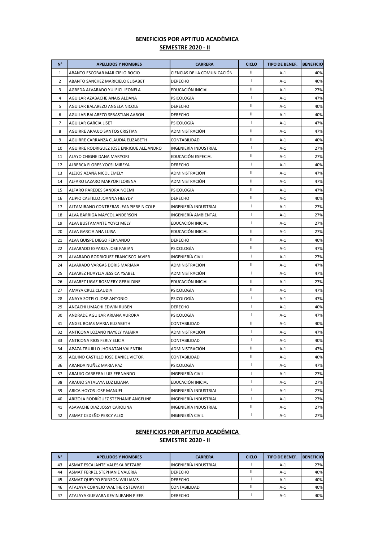| $N^{\circ}$    | <b>APELLIDOS Y NOMBRES</b>               | <b>CARRERA</b>              | <b>CICLO</b>   | <b>TIPO DE BENEF.</b> | <b>BENEFICIO</b> |
|----------------|------------------------------------------|-----------------------------|----------------|-----------------------|------------------|
| $\mathbf{1}$   | ABANTO ESCOBAR MARICIELO ROCIO           | CIENCIAS DE LA COMUNICACIÓN | Ш              | A-1                   | 40%              |
| $\overline{2}$ | ABANTO SANCHEZ MARICIELO ELISABET        | DERECHO                     | $\mathbf{I}$   | $A-1$                 | 40%              |
| 3              | AGREDA ALVARADO YULEICI LEONELA          | EDUCACIÓN INICIAL           | Ш              | $A-1$                 | 27%              |
| 4              | AGUILAR AZABACHE ANAIS ALDANA            | PSICOLOGÍA                  | $\mathbf{I}$   | A-1                   | 47%              |
| 5              | AGUILAR BALAREZO ANGELA NICOLE           | <b>DERECHO</b>              | $\mathbf{II}$  | $A-1$                 | 40%              |
| 6              | AGUILAR BALAREZO SEBASTIAN AARON         | <b>DERECHO</b>              | Ш              | $A-1$                 | 40%              |
| $\overline{7}$ | AGUILAR GARCIA LISET                     | PSICOLOGÍA                  | $\mathbf{I}$   | $A-1$                 | 47%              |
| 8              | AGUIRRE ARAUJO SANTOS CRISTIAN           | ADMINISTRACIÓN              | Ш              | $A-1$                 | 47%              |
| 9              | AGUIRRE CARRANZA CLAUDIA ELIZABETH       | CONTABILIDAD                | Ш              | $A-1$                 | 40%              |
| 10             | AGUIRRE RODRIGUEZ JOSE ENRIQUE ALEJANDRO | INGENIERÍA INDUSTRIAL       | $\mathbf{I}$   | A-1                   | 27%              |
| 11             | ALAYO CHIGNE DANA MARYORI                | EDUCACIÓN ESPECIAL          | $\mathbf{II}$  | $A-1$                 | 27%              |
| 12             | ALBERCA FLORES YOCSI MIREYA              | <b>DERECHO</b>              | $\mathbf{I}$   | $A-1$                 | 40%              |
| 13             | ALEJOS AZAÑA NICOL EMELY                 | ADMINISTRACIÓN              | Ш              | $A-1$                 | 47%              |
| 14             | ALFARO LAZARO MARYORI LORENA             | ADMINISTRACIÓN              | Ш              | $A-1$                 | 47%              |
| 15             | ALFARO PAREDES SANDRA NOEMI              | PSICOLOGÍA                  | Ш              | $A-1$                 | 47%              |
| 16             | ALIPIO CASTILLO JOANNA HEEYDY            | DERECHO                     | Ш              | $A-1$                 | 40%              |
| 17             | ALTAMIRANO CONTRERAS JEANPIERE NICOLE    | INGENIERÍA INDUSTRIAL       | $\mathbf{I}$   | $A-1$                 | 27%              |
| 18             | ALVA BARRIGA MAYCOL ANDERSON             | INGENIERÍA AMBIENTAL        | J.             | $A-1$                 | 27%              |
| 19             | ALVA BUSTAMANTE YOYCI MELY               | EDUCACIÓN INICIAL           | $\mathbf{I}$   | $A-1$                 | 27%              |
| 20             | ALVA GARCIA ANA LUISA                    | EDUCACIÓN INICIAL           | $\mathbf{II}$  | $A-1$                 | 27%              |
| 21             | ALVA QUISPE DIEGO FERNANDO               | <b>DERECHO</b>              | Ш              | A-1                   | 40%              |
| 22             | ALVARADO ESPARZA JOSE FABIAN             | PSICOLOGÍA                  | $\mathbf{H}$   | A-1                   | 47%              |
| 23             | ALVARADO RODRIGUEZ FRANCISCO JAVIER      | INGENIERÍA CIVIL            | $\mathbf{I}$   | $A-1$                 | 27%              |
| 24             | ALVARADO VARGAS DORIS MARIANA            | ADMINISTRACIÓN              | Ш              | $A-1$                 | 47%              |
| 25             | ALVAREZ HUAYLLA JESSICA YSABEL           | ADMINISTRACIÓN              | $\mathbf{I}$   | $A-1$                 | 47%              |
| 26             | ALVAREZ UGAZ ROSMERY GERALDINE           | EDUCACIÓN INICIAL           | Ш              | $A-1$                 | 27%              |
| 27             | AMAYA CRUZ CLAUDIA                       | PSICOLOGÍA                  | Ш              | $A-1$                 | 47%              |
| 28             | ANAYA SOTELO JOSE ANTONIO                | PSICOLOGIA                  | $\mathbf{I}$   | $A-1$                 | 47%              |
| 29             | ANCACHI LIMACHI EDWIN RUBEN              | <b>DERECHO</b>              | $\overline{1}$ | $A-1$                 | 40%              |
| 30             | ANDRADE AGUILAR ARIANA AURORA            | PSICOLOGÍA                  | J.             | $A-1$                 | 47%              |
| 31             | ANGEL ROJAS MARIA ELIZABETH              | CONTABILIDAD                | Ш              | $A-1$                 | 40%              |
| 32             | ANTICONA LOZANO NAYELY YAJAIRA           | ADMINISTRACIÓN              | $\mathbf{I}$   | $A-1$                 | 47%              |
| 33             | ANTICONA RIOS FERLY ELICIA               | CONTABILIDAD                | $\mathbf{I}$   | A-1                   | 40%              |
| 34             | APAZA TRUJILLO JHONATAN VALENTIN         | ADMINISTRACIÓN              | $\rm{II}$      | A-1                   | 47%              |
| 35             | AQUINO CASTILLO JOSE DANIEL VICTOR       | CONTABILIDAD                | Ш              | $A-1$                 | 40%              |
| 36             | ARANDA NUÑEZ MARIA PAZ                   | PSICOLOGÍA                  | $\mathbf{I}$   | $A-1$                 | 47%              |
| 37             | ARAUJO CARRERA LUIS FERNANDO             | INGENIERÍA CIVIL            | $\mathbf{I}$   | $A-1$                 | 27%              |
| 38             | ARAUJO SATALAYA LUZ LILIANA              | EDUCACIÓN INICIAL           | $\mathbf{I}$   | $A-1$                 | 27%              |
| 39             | ARICA HOYOS JOSE MANUEL                  | INGENIERÍA INDUSTRIAL       | $\mathbf{I}$   | A-1                   | 27%              |
| 40             | ARIZOLA RODRÍGUEZ STEPHANIE ANGELINE     | INGENIERÍA INDUSTRIAL       | $\mathbf{I}$   | $A-1$                 | 27%              |
| 41             | ASAVACHE DIAZ JOSSY CAROLINA             | INGENIERÍA INDUSTRIAL       | Ш              | $A-1$                 | 27%              |
| 42             | ASMAT CEDEÑO PERCY ALEX                  | INGENIERÍA CIVIL            | $\mathbf{I}$   | $A-1$                 | 27%              |

| N° | <b>APELLIDOS Y NOMBRES</b>             | <b>CARRERA</b>        | <b>CICLO</b> | <b>TIPO DE BENEF.</b> | <b>BENEFICIO</b> |
|----|----------------------------------------|-----------------------|--------------|-----------------------|------------------|
| 43 | ASMAT ESCALANTE VALESKA BETZABE        | INGENIERÍA INDUSTRIAL |              | $A-1$                 | 27%              |
| 44 | ASMAT FERREL STEPHANIE VALERIA         | <b>DERECHO</b>        |              | $A-1$                 | 40%              |
| 45 | ASMAT QUEYPO EDINSON WILLIAMS          | <b>DERECHO</b>        |              | $A-1$                 | 40%              |
| 46 | <b>ATALAYA CORNEJO WALTHER STEWART</b> | <b>CONTABILIDAD</b>   |              | A-1                   | 40%              |
| 47 | ATALAYA GUEVARA KEVIN JEANN PIEER      | <b>DERECHO</b>        |              | $A-1$                 | 40%              |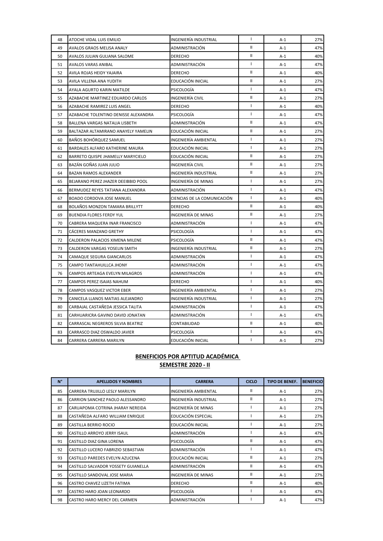| 48 | ATOCHE VIDAL LUIS EMILIO             | INGENIERÍA INDUSTRIAL       | $\mathbf{I}$  | $A-1$ | 27% |
|----|--------------------------------------|-----------------------------|---------------|-------|-----|
| 49 | AVALOS GRAOS MELISA ANALY            | ADMINISTRACIÓN              | $\mathbf{II}$ | $A-1$ | 47% |
| 50 | AVALOS JULIAN GULIANA SALOME         | <b>DERECHO</b>              | $\mathbf{II}$ | $A-1$ | 40% |
| 51 | <b>AVALOS VARAS ANIBAL</b>           | ADMINISTRACIÓN              | $\mathbf{I}$  | $A-1$ | 47% |
| 52 | AVILA ROJAS HEIDY YAJAIRA            | <b>DERECHO</b>              | Ш             | $A-1$ | 40% |
| 53 | AVILA VILLENA ANA YUDITH             | EDUCACIÓN INICIAL           | $\mathbf{II}$ | $A-1$ | 27% |
| 54 | AYALA AGURTO KARIN MATILDE           | PSICOLOGÍA                  | $\mathbf{I}$  | $A-1$ | 47% |
| 55 | AZABACHE MARTINEZ EDUARDO CARLOS     | INGENIERÍA CIVIL            | Ш             | $A-1$ | 27% |
| 56 | AZABACHE RAMIREZ LUIS ANGEL          | <b>DERECHO</b>              | $\mathbf{I}$  | $A-1$ | 40% |
| 57 | AZABACHE TOLENTINO DENISSE ALEXANDRA | PSICOLOGÍA                  | $\mathbf{I}$  | $A-1$ | 47% |
| 58 | BALLENA VARGAS NATALIA LISBETH       | ADMINISTRACIÓN              | $\mathbf{II}$ | $A-1$ | 47% |
| 59 | BALTAZAR ALTAMIRANO ANAYELY YAMELIN  | EDUCACIÓN INICIAL           | Ш             | $A-1$ | 27% |
| 60 | BAÑOS BOHÓRQUEZ SAMUEL               | INGENIERÍA AMBIENTAL        | $\mathbf{I}$  | $A-1$ | 27% |
| 61 | BARDALES ALFARO KATHERINE MAURA      | EDUCACIÓN INICIAL           | $\mathbf{I}$  | $A-1$ | 27% |
| 62 | BARRETO QUISPE JHAMELLY MARYCIELO    | EDUCACIÓN INICIAL           | Ш             | $A-1$ | 27% |
| 63 | BAZÁN GOÑAS JUAN JULIO               | INGENIERÍA CIVIL            | $\mathbf{II}$ | $A-1$ | 27% |
| 64 | BAZAN RAMOS ALEXANDER                | INGENIERÍA INDUSTRIAL       | Ш             | $A-1$ | 27% |
| 65 | BEJARANO PEREZ JHAZER DEEIBBID POOL  | INGENIERÍA DE MINAS         | $\mathbf{I}$  | $A-1$ | 27% |
| 66 | BERMUDEZ REYES TATIANA ALEXANDRA     | ADMINISTRACIÓN              | $\mathbf{I}$  | $A-1$ | 47% |
| 67 | BOADO CORDOVA JOSE MANUEL            | CIENCIAS DE LA COMUNICACIÓN | $\mathbf{I}$  | $A-1$ | 40% |
| 68 | BOLAÑOS MONZON TAMARA BRILLYTT       | <b>DERECHO</b>              | Ш             | $A-1$ | 40% |
| 69 | <b>BUENDIA FLORES FERDY YUL</b>      | INGENIERÍA DE MINAS         | Ш             | $A-1$ | 27% |
| 70 | CABRERA MAQUERA INAR FRANCISCO       | ADMINISTRACIÓN              | $\mathbf{I}$  | $A-1$ | 47% |
| 71 | CACERES MANZANO GRETHY               | <b>PSICOLOGÍA</b>           | $\mathbf{I}$  | $A-1$ | 47% |
| 72 | CALDERON PALACIOS XIMENA MILENE      | PSICOLOGÍA                  | Ш             | $A-1$ | 47% |
| 73 | CALDERON VARGAS YOSELIN SMITH        | INGENIERÍA INDUSTRIAL       | Ш             | $A-1$ | 27% |
| 74 | CAMAQUE SEGURA GIANCARLOS            | ADMINISTRACIÓN              | $\mathbf{I}$  | $A-1$ | 47% |
| 75 | CAMPO TANTAHUILLCA JHONY             | ADMINISTRACIÓN              | $\mathbf{I}$  | $A-1$ | 47% |
| 76 | CAMPOS ARTEAGA EVELYN MILAGROS       | ADMINISTRACIÓN              | $\mathbf{I}$  | $A-1$ | 47% |
| 77 | CAMPOS PEREZ ISAIAS NAHUM            | <b>DERECHO</b>              | $\mathbf{I}$  | $A-1$ | 40% |
| 78 | CAMPOS VASQUEZ VICTOR EBER           | INGENIERÍA AMBIENTAL        | $\mathbf{I}$  | $A-1$ | 27% |
| 79 | CANICELA LLANOS MATIAS ALEJANDRO     | INGENIERÍA INDUSTRIAL       | $\mathbf{I}$  | $A-1$ | 27% |
| 80 | CARBAJAL CASTAÑEDA JESSICA TALITA    | ADMINISTRACIÓN              | $\mathbf{I}$  | $A-1$ | 47% |
| 81 | CARHUARICRA GAVINO DAVID JONATAN     | ADMINISTRACIÓN              | $\mathbf{I}$  | $A-1$ | 47% |
| 82 | CARRASCAL NEGREROS SILVIA BEATRIZ    | CONTABILIDAD                | Ш             | $A-1$ | 40% |
| 83 | CARRASCO DIAZ OSWALDO JAVIER         | PSICOLOGÍA                  | $\mathbf{I}$  | $A-1$ | 47% |
| 84 | CARRERA CARRERA MARILYN              | EDUCACIÓN INICIAL           | $\mathbf{I}$  | $A-1$ | 27% |

| $N^{\circ}$ | <b>APELLIDOS Y NOMBRES</b>          | <b>CARRERA</b>        | <b>CICLO</b> | <b>TIPO DE BENEF.</b> | <b>BENEFICIO</b> |
|-------------|-------------------------------------|-----------------------|--------------|-----------------------|------------------|
| 85          | CARRERA TRUJILLO LESLY MARILYN      | INGENIERÍA AMBIENTAL  | Ш            | $A-1$                 | 27%              |
| 86          | CARRION SANCHEZ PAOLO ALESSANDRO    | INGENIERÍA INDUSTRIAL | Ш            | $A-1$                 | 27%              |
| 87          | CARUAPOMA COTRINA JHARAY NEREIDA    | INGENIERÍA DE MINAS   |              | $A-1$                 | 27%              |
| 88          | CASTAÑEDA ALFARO WILLIAM ENRIQUE    | EDUCACIÓN ESPECIAL    |              | $A-1$                 | 27%              |
| 89          | CASTILLA BERRIO ROCIO               | EDUCACIÓN INICIAL     |              | $A-1$                 | 27%              |
| 90          | CASTILLO ARROYO JERRY ISAUL         | ADMINISTRACIÓN        |              | $A-1$                 | 47%              |
| 91          | CASTILLO DIAZ GINA LORENA           | <b>PSICOLOGÍA</b>     | Ш            | $A-1$                 | 47%              |
| 92          | CASTILLO LUCERO FABRIZIO SEBASTIAN  | ADMINISTRACIÓN        |              | $A-1$                 | 47%              |
| 93          | CASTILLO PAREDES EVELYN AZUCENA     | EDUCACIÓN INICIAL     | Ш            | $A-1$                 | 27%              |
| 94          | CASTILLO SALVADOR YOSSETY GUIANELLA | ADMINISTRACIÓN        | $\mathbf{H}$ | $A-1$                 | 47%              |
| 95          | CASTILLO SANDOVAL JOSE MARIA        | INGENIERÍA DE MINAS   | Ш            | $A-1$                 | 27%              |
| 96          | CASTRO CHAVEZ LIZETH FATIMA         | <b>DERECHO</b>        | Ш            | $A-1$                 | 40%              |
| 97          | CASTRO HARO JOAN LEONARDO           | <b>PSICOLOGÍA</b>     |              | $A-1$                 | 47%              |
| 98          | CASTRO HARO MERCY DEL CARMEN        | ADMINISTRACIÓN        |              | $A-1$                 | 47%              |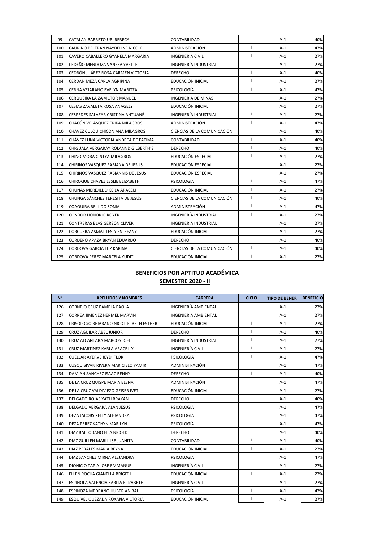| 99  | CATALAN BARRETO URI REBECA            | CONTABILIDAD                 | $\mathbf{II}$  | $A-1$ | 40% |
|-----|---------------------------------------|------------------------------|----------------|-------|-----|
| 100 | CAURINO BELTRAN NAYDELINE NICOLE      | ADMINISTRACIÓN               | $\mathbf{I}$   | $A-1$ | 47% |
| 101 | CAVERO CABALLERO GYANELA MARGARIA     | INGENIERÍA CIVIL             | $\blacksquare$ | $A-1$ | 27% |
| 102 | CEDEÑO MENDOZA VANESA YVETTE          | INGENIERÍA INDUSTRIAL        | $\mathbf{II}$  | $A-1$ | 27% |
| 103 | CEDRÓN JUÁREZ ROSA CARMEN VICTORIA    | <b>DERECHO</b>               | $\mathbf{I}$   | $A-1$ | 40% |
| 104 | CERDAN MEZA CARLA AGRIPINA            | EDUCACIÓN INICIAL            | $\mathbf{I}$   | $A-1$ | 27% |
| 105 | CERNA VEJARANO EVELYN MARITZA         | PSICOLOGÍA                   | $\mathbf{I}$   | $A-1$ | 47% |
| 106 | CERQUEIRA LAIZA VICTOR MANUEL         | INGENIERÍA DE MINAS          | $\mathbf{II}$  | $A-1$ | 27% |
| 107 | CESIAS ZAVALETA ROSA ANAGELY          | EDUCACIÓN INICIAL            | $\mathbf{II}$  | $A-1$ | 27% |
| 108 | CÉSPEDES SALAZAR CRISTINA ANTUANÉ     | INGENIERÍA INDUSTRIAL        | $\mathbf{I}$   | $A-1$ | 27% |
| 109 | CHACÓN VELÁSQUEZ ERIKA MILAGROS       | ADMINISTRACIÓN               | $\mathbf{I}$   | $A-1$ | 47% |
| 110 | CHAVEZ CULQUICHICON ANA MILAGROS      | CIENCIAS DE LA COMUNICACIÓN  | $\mathbf{II}$  | $A-1$ | 40% |
| 111 | CHÁVEZ LUNA VICTORIA ANDREA DE FÁTIMA | CONTABILIDAD                 | $\mathbf{I}$   | $A-1$ | 40% |
| 112 | CHIGUALA VERGARAY ROLANND GILBERTH'S  | <b>DERECHO</b>               | $\mathbf{I}$   | $A-1$ | 40% |
| 113 | CHINO MORA CINTYA MILAGROS            | EDUCACIÓN ESPECIAL           | $\mathbf{I}$   | $A-1$ | 27% |
| 114 | CHIRINOS VASQUEZ FABIANA DE JESUS     | EDUCACIÓN ESPECIAL           | $\mathbf{II}$  | $A-1$ | 27% |
| 115 | CHIRINOS VASQUEZ FABIANNIS DE JESUS   | EDUCACIÓN ESPECIAL           | $\mathbf{II}$  | $A-1$ | 27% |
| 116 | CHIROQUE CHAVEZ LESLIE ELIZABETH      | PSICOLOGÍA                   | $\mathbf{I}$   | $A-1$ | 47% |
| 117 | CHUNAS MEREJILDO KEILA ARACELI        | EDUCACIÓN INICIAL            | $\blacksquare$ | $A-1$ | 27% |
| 118 | CHUNGA SÁNCHEZ TERESITA DE JESÚS      | CIENCIAS DE LA COMUNICACIÓN  | $\mathbf{I}$   | $A-1$ | 40% |
| 119 | COAQUIRA BELLIDO SONIA                | ADMINISTRACIÓN               | $\mathbf{I}$   | $A-1$ | 47% |
| 120 | <b>CONDOR HONORIO ROYER</b>           | INGENIERÍA INDUSTRIAL        | $\mathbf{I}$   | $A-1$ | 27% |
| 121 | <b>CONTRERAS BLAS GERSON CLIVER</b>   | <b>INGENIERÍA INDUSTRIAL</b> | $\mathbf{II}$  | $A-1$ | 27% |
| 122 | CORCUERA ASMAT LESLY ESTEFANY         | EDUCACIÓN INICIAL            | $\mathbf{II}$  | $A-1$ | 27% |
| 123 | CORDERO APAZA BRYAN EDUARDO           | <b>DERECHO</b>               | Ш.             | $A-1$ | 40% |
| 124 | CORDOVA GARCIA LUZ KARINA             | CIENCIAS DE LA COMUNICACIÓN  | $\mathbf{I}$   | $A-1$ | 40% |
| 125 | CORDOVA PEREZ MARCELA YUDIT           | EDUCACIÓN INICIAL            | $\mathbf{I}$   | $A-1$ | 27% |

| $N^{\circ}$ | <b>APELLIDOS Y NOMBRES</b>              | <b>CARRERA</b>               | <b>CICLO</b>  | <b>TIPO DE BENEF.</b> | <b>BENEFICIO</b> |
|-------------|-----------------------------------------|------------------------------|---------------|-----------------------|------------------|
| 126         | CORNEJO CRUZ PAMELA PAOLA               | INGENIERÍA AMBIENTAL         | $\mathbf{II}$ | $A-1$                 | 27%              |
| 127         | <b>CORREA JIMENEZ HERMEL MARVIN</b>     | INGENIERÍA AMBIENTAL         | $\mathbf{II}$ | $A-1$                 | 27%              |
| 128         | CRISÓLOGO BEJARANO NICOLLE IBETH ESTHER | EDUCACIÓN INICIAL            | Т             | $A-1$                 | 27%              |
| 129         | <b>CRUZ AGUILAR ABEL JUNIOR</b>         | <b>DERECHO</b>               | Т             | $A-1$                 | 40%              |
| 130         | CRUZ ALCANTARA MARCOS JOEL              | <b>INGENIERÍA INDUSTRIAL</b> | $\mathbf{I}$  | $A-1$                 | 27%              |
| 131         | CRUZ MARTINEZ KARLA ARACELLY            | INGENIERÍA CIVIL             | I             | $A-1$                 | 27%              |
| 132         | <b>CUELLAR AYERVE JEYDI FLOR</b>        | PSICOLOGÍA                   | I             | $A-1$                 | 47%              |
| 133         | CUSQUISIVAN RIVERA MARICIELO YAMIRI     | ADMINISTRACIÓN               | Ш             | $A-1$                 | 47%              |
| 134         | DAMIAN SANCHEZ ISAAC BENNY              | <b>DERECHO</b>               | T             | $A-1$                 | 40%              |
| 135         | DE LA CRUZ QUISPE MARIA ELENA           | ADMINISTRACIÓN               | Ш             | $A-1$                 | 47%              |
| 136         | DE LA CRUZ VALDIVIEZO GEISER IVET       | EDUCACIÓN INICIAL            | $\mathbf{II}$ | $A-1$                 | 27%              |
| 137         | DELGADO ROJAS YATH BRAYAN               | <b>DERECHO</b>               | $\mathbf{II}$ | $A-1$                 | 40%              |
| 138         | DELGADO VERGARA ALAN JESUS              | <b>PSICOLOGÍA</b>            | $\mathbf{II}$ | $A-1$                 | 47%              |
| 139         | DEZA JACOBS KELLY ALEJANDRA             | PSICOLOGÍA                   | $\mathbf{II}$ | $A-1$                 | 47%              |
| 140         | DEZA PEREZ KATHYN MARILYN               | PSICOLOGÍA                   | $\mathbf{II}$ | $A-1$                 | 47%              |
| 141         | DIAZ BALTODANO ELIA NICOLD              | <b>DERECHO</b>               | $\mathbf{II}$ | $A-1$                 | 40%              |
| 142         | DIAZ GUILLEN MARILLISE JUANITA          | CONTABILIDAD                 | T             | $A-1$                 | 40%              |
| 143         | DIAZ PERALES MARIA REYNA                | EDUCACIÓN INICIAL            | $\mathbf{I}$  | $A-1$                 | 27%              |
| 144         | DIAZ SANCHEZ MIRNA ALEJANDRA            | PSICOLOGÍA                   | $\mathbf{II}$ | $A-1$                 | 47%              |
| 145         | DIONICIO TAPIA JOSE EMMANUEL            | INGENIERÍA CIVIL             | $\mathbf{II}$ | $A-1$                 | 27%              |
| 146         | ELLEN ROCHA GIANELLA BRIGITH            | EDUCACIÓN INICIAL            | $\mathbf{I}$  | $A-1$                 | 27%              |
| 147         | ESPINOLA VALENCIA SARITA ELIZABETH      | INGENIERÍA CIVIL             | $\mathbf{I}$  | $A-1$                 | 27%              |
| 148         | ESPINOZA MEDRANO HUBER ANIBAL           | PSICOLOGÍA                   | $\mathbf{I}$  | $A-1$                 | 47%              |
| 149         | ESQUIVEL QUEZADA ROXANA VICTORIA        | EDUCACIÓN INICIAL            | ı             | $A-1$                 | 27%              |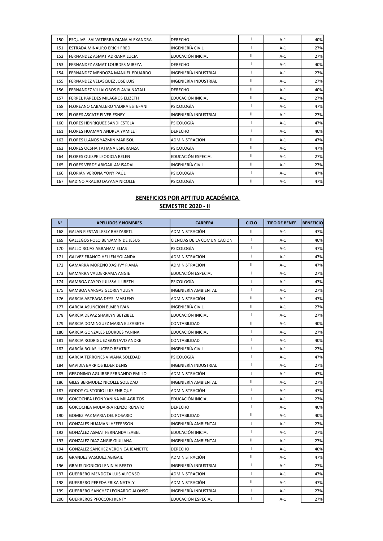| 150 | ESQUIVEL SALVATIERRA DIANA ALEXANDRA  | <b>DERECHO</b>        |              | $A-1$ | 40% |
|-----|---------------------------------------|-----------------------|--------------|-------|-----|
| 151 | <b>ESTRADA MINAURO ERICH FRED</b>     | INGENIERÍA CIVIL      |              | $A-1$ | 27% |
| 152 | FERNANDEZ ASMAT ADRIANA LUCIA         | EDUCACIÓN INICIAL     | Ш            | $A-1$ | 27% |
| 153 | FERNANDEZ ASMAT LOURDES MIREYA        | <b>DERECHO</b>        |              | $A-1$ | 40% |
| 154 | FERNANDEZ MENDOZA MANUEL EDUARDO      | INGENIERÍA INDUSTRIAL |              | $A-1$ | 27% |
| 155 | FERNANDEZ VELASQUEZ JOSE LUIS         | INGENIERÍA INDUSTRIAL | Ш            | $A-1$ | 27% |
| 156 | FERNANDEZ VILLALOBOS FLAVIA NATALI    | <b>DERECHO</b>        | Ш            | $A-1$ | 40% |
| 157 | FERREL PAREDES MILAGROS ELIZETH       | EDUCACIÓN INICIAL     | Ш            | $A-1$ | 27% |
| 158 | FLOREANO CABALLERO YADIRA ESTEFANI    | PSICOLOGÍA            |              | $A-1$ | 47% |
| 159 | FLORES ASCATE ELVER ESNEY             | INGENIERÍA INDUSTRIAL | Ш            | $A-1$ | 27% |
| 160 | FLORES HENRIQUEZ SANDI ESTELA         | PSICOLOGÍA            |              | $A-1$ | 47% |
| 161 | <b>FLORES HUAMAN ANDREA YAMILET</b>   | <b>DERECHO</b>        |              | $A-1$ | 40% |
| 162 | <b>FLORES LLANOS YAZMIN MARISOL</b>   | ADMINISTRACIÓN        | Ш            | $A-1$ | 47% |
| 163 | <b>FLORES OCSHA TATIANA ESPERANZA</b> | PSICOLOGÍA            | Ш            | $A-1$ | 47% |
| 164 | FLORES QUISPE LEODICIA BELEN          | EDUCACIÓN ESPECIAL    | Ш            | $A-1$ | 27% |
| 165 | <b>FLORES VERDE ABIGAIL AMISADAI</b>  | INGENIERÍA CIVIL      | $\mathbf{H}$ | $A-1$ | 27% |
| 166 | FLORIÁN VERONA YONY PAÚL              | <b>PSICOLOGÍA</b>     |              | $A-1$ | 47% |
| 167 | <b>GADINO ARAUJO DAYANA NICOLLE</b>   | <b>PSICOLOGÍA</b>     | Ш            | $A-1$ | 47% |

| $N^{\circ}$ | <b>APELLIDOS Y NOMBRES</b>         | <b>CARRERA</b>              | <b>CICLO</b>               | <b>TIPO DE BENEF.</b> | <b>BENEFICIO</b> |
|-------------|------------------------------------|-----------------------------|----------------------------|-----------------------|------------------|
| 168         | GALAN FIESTAS LESLY BHEZABETL      | ADMINISTRACIÓN              | $\mathbf{I}$               | A-1                   | 47%              |
| 169         | GALLEGOS POLO BENJAMÍN DE JESUS    | CIENCIAS DE LA COMUNICACIÓN | $\mathbf{I}$               | $A-1$                 | 40%              |
| 170         | GALLO ROJAS ABRAHAM ELIAS          | PSICOLOGÍA                  | $\mathbf{I}$               | $A-1$                 | 47%              |
| 171         | GALVEZ FRANCO HELLEN YOLANDA       | ADMINISTRACIÓN              | $\mathbf{I}$               | $A-1$                 | 47%              |
| 172         | GAMARRA MORENO XASHVY FIAMA        | ADMINISTRACIÓN              | $\mathbf{II}$              | $A-1$                 | 47%              |
| 173         | <b>GAMARRA VALDERRAMA ANGIE</b>    | EDUCACIÓN ESPECIAL          | $\mathbf{I}$               | $A-1$                 | 27%              |
| 174         | GAMBOA CAYPO JULISSA LILIBETH      | PSICOLOGÍA                  | $\mathbf{I}$               | $A-1$                 | 47%              |
| 175         | GAMBOA VARGAS GLORIA YULISA        | INGENIERÍA AMBIENTAL        | $\mathbf{I}$               | A-1                   | 27%              |
| 176         | GARCIA ARTEAGA DEYSI MARLENY       | ADMINISTRACIÓN              | $\ensuremath{\mathsf{II}}$ | $A-1$                 | 47%              |
| 177         | GARCIA ASUNCION ELMER IVAN         | INGENIERÍA CIVIL            | $\mathbf{II}$              | A-1                   | 27%              |
| 178         | GARCIA DEPAZ SHARLYN BETZIBEL      | EDUCACIÓN INICIAL           | $\mathbf{I}$               | $A-1$                 | 27%              |
| 179         | GARCIA DOMINGUEZ MARIA ELIZABETH   | CONTABILIDAD                | $\mathbf{I}$               | A-1                   | 40%              |
| 180         | GARCIA GONZALES LOURDES YANINA     | EDUCACIÓN INICIAL           | $\mathbf{I}$               | $A-1$                 | 27%              |
| 181         | GARCIA RODRIGUEZ GUSTAVO ANDRE     | CONTABILIDAD                | $\overline{\phantom{a}}$   | A-1                   | 40%              |
| 182         | GARCÍA ROJAS LUCERO BEATRIZ        | INGENIERÍA CIVIL            | T                          | $A-1$                 | 27%              |
| 183         | GARCIA TERRONES VIVIANA SOLEDAD    | PSICOLOGÍA                  | T                          | $A-1$                 | 47%              |
| 184         | GAVIDIA BARRIOS ILDER DENIS        | INGENIERÍA INDUSTRIAL       | $\mathbf{I}$               | $A-1$                 | 27%              |
| 185         | GERONIMO AGUIRRE FERNANDO EMILIO   | ADMINISTRACIÓN              | $\mathbf{I}$               | $A-1$                 | 47%              |
| 186         | GILES BERMUDEZ NICOLLE SOLEDAD     | INGENIERÍA AMBIENTAL        | $\mathbf{II}$              | $A-1$                 | 27%              |
| 187         | GODOY CUSTODIO LUIS ENRIQUE        | ADMINISTRACIÓN              | $\mathbf{I}$               | $A-1$                 | 47%              |
| 188         | GOICOCHEA LEON YANINA MILAGRITOS   | EDUCACIÓN INICIAL           | $\mathbf{I}$               | $A-1$                 | 27%              |
| 189         | GOICOCHEA MUDARRA RENZO RENATO     | DERECHO                     | $\mathbf{I}$               | $A-1$                 | 40%              |
| 190         | GOMEZ PAZ MARIA DEL ROSARIO        | CONTABILIDAD                | $\mathbf{II}$              | $A-1$                 | 40%              |
| 191         | GONZALES HUAMANI HEFFERSON         | INGENIERÍA AMBIENTAL        | $\mathbf{I}$               | $A-1$                 | 27%              |
| 192         | GONZÁLEZ ASMAT FERNANDA ISABEL     | EDUCACIÓN INICIAL           | $\mathbf{I}$               | A-1                   | 27%              |
| 193         | GONZALEZ DIAZ ANGIE GIULIANA       | INGENIERÍA AMBIENTAL        | $\mathbf{II}$              | $A-1$                 | 27%              |
| 194         | GONZALEZ SANCHEZ VERONICA JEANETTE | <b>DERECHO</b>              | $\mathbf{I}$               | A-1                   | 40%              |
| 195         | <b>GRANDEZ VASQUEZ ABIGAIL</b>     | ADMINISTRACIÓN              | $\mathbf{II}$              | $A-1$                 | 47%              |
| 196         | GRAUS DIONICIO LENIN ALBERTO       | INGENIERÍA INDUSTRIAL       | T                          | A-1                   | 27%              |
| 197         | GUERRERO MENDOZA LUIS ALFONSO      | ADMINISTRACIÓN              | $\mathbf{I}$               | $A-1$                 | 47%              |
| 198         | GUERRERO PEREDA ERIKA NATALY       | ADMINISTRACIÓN              | $\mathbf{II}$              | A-1                   | 47%              |
| 199         | GUERRERO SANCHEZ LEONARDO ALONSO   | INGENIERÍA INDUSTRIAL       | $\mathbf{I}$               | $A-1$                 | 27%              |
| 200         | <b>GUERREROS PFOCCORI KENTY</b>    | EDUCACIÓN ESPECIAL          | $\mathbf{I}$               | $A-1$                 | 27%              |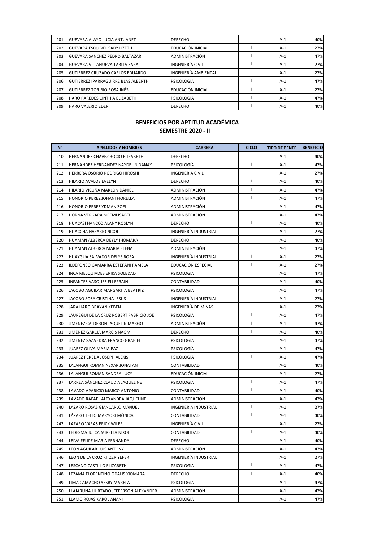| 201 | <b>GUEVARA ALAYO LUCIA ANTUANET</b> | <b>DERECHO</b>          | Ш | $A-1$ | 40% |
|-----|-------------------------------------|-------------------------|---|-------|-----|
| 202 | GUEVARA ESQUIVEL SADY LIZETH        | EDUCACIÓN INICIAL       |   | $A-1$ | 27% |
| 203 | GUEVARA SÁNCHEZ PEDRO BALTAZAR      | ADMINISTRACIÓN          |   | $A-1$ | 47% |
| 204 | GUEVARA VILLANUEVA TABITA SARAI     | <b>INGENIERÍA CIVIL</b> |   | $A-1$ | 27% |
| 205 | GUTIERREZ CRUZADO CARLOS EDUARDO    | INGENIERÍA AMBIENTAL    | Ш | $A-1$ | 27% |
| 206 | GUTIERREZ IPARRAGUIRRE BLAS ALBERTH | <b>PSICOLOGÍA</b>       |   | $A-1$ | 47% |
| 207 | <b>GUTIÉRREZ TORIBIO ROSA INÉS</b>  | EDUCACIÓN INICIAL       |   | $A-1$ | 27% |
| 208 | HARO PAREDES CINTHIA ELIZABETH      | PSICOLOGÍA              |   | $A-1$ | 47% |
| 209 | <b>HARO VALERIO EDER</b>            | <b>DERECHO</b>          |   | $A-1$ | 40% |

| $N^{\circ}$ | <b>APELLIDOS Y NOMBRES</b>              | <b>CARRERA</b>        | <b>CICLO</b>  | <b>TIPO DE BENEF.</b> | <b>BENEFICIO</b> |
|-------------|-----------------------------------------|-----------------------|---------------|-----------------------|------------------|
| 210         | HERNANDEZ CHAVEZ ROCIO ELIZABETH        | DERECHO               | Ш             | A-1                   | 40%              |
| 211         | HERNANDEZ HERNANDEZ NAYDELIN DANAY      | PSICOLOGÍA            | $\mathbf{I}$  | A-1                   | 47%              |
| 212         | HERRERA OSORIO RODRIGO HIROSHI          | INGENIERÍA CIVIL      | Ш             | $A-1$                 | 27%              |
| 213         | <b>HILARIO AVALOS EVELYN</b>            | <b>DERECHO</b>        | $\mathbf{L}$  | A-1                   | 40%              |
| 214         | HILARIO VICUÑA MARLON DANIEL            | ADMINISTRACIÓN        | $\mathbf{I}$  | A-1                   | 47%              |
| 215         | HONORIO PEREZ JOHANI FIORELLA           | ADMINISTRACIÓN        | $\mathbf{I}$  | $A-1$                 | 47%              |
| 216         | HONORIO PEREZ YDMAN ZOEL                | ADMINISTRACIÓN        | Ш             | $A-1$                 | 47%              |
| 217         | HORNA VERGARA NOEMI ISABEL              | ADMINISTRACIÓN        | Ш             | A-1                   | 47%              |
| 218         | HUACASI HANCCO ALANY ROSLYN             | <b>DERECHO</b>        | $\mathbf{I}$  | $A-1$                 | 40%              |
| 219         | HUACCHA NAZARIO NICOL                   | INGENIERÍA INDUSTRIAL | $\mathbf{II}$ | A-1                   | 27%              |
| 220         | HUAMAN ALBERCA DEYLY IHOMARA            | <b>DERECHO</b>        | $\mathbf{II}$ | A-1                   | 40%              |
| 221         | HUAMAN ALBERCA MARIA ELENA              | ADMINISTRACIÓN        | $\mathbf{II}$ | $A-1$                 | 47%              |
| 222         | HUAYGUA SALVADOR DELYS ROSA             | INGENIERÍA INDUSTRIAL | $\mathbf{I}$  | $A-1$                 | 27%              |
| 223         | ILDEFONSO GAMARRA ESTEFANI PAMELA       | EDUCACIÓN ESPECIAL    | $\mathbf{I}$  | A-1                   | 27%              |
| 224         | INCA MELQUIADES ERIKA SOLEDAD           | PSICOLOGÍA            | Ш             | $A-1$                 | 47%              |
| 225         | INFANTES VASQUEZ ELI EFRAIN             | CONTABILIDAD          | Ш             | A-1                   | 40%              |
| 226         | JACOBO AGUILAR MARGARITA BEATRIZ        | PSICOLOGÍA            | $\mathbf{II}$ | A-1                   | 47%              |
| 227         | JACOBO SOSA CRISTINA JESUS              | INGENIERÍA INDUSTRIAL | Ш             | $A-1$                 | 27%              |
| 228         | JARA HARO BRAYAN KEBEN                  | INGENIERÍA DE MINAS   | Ш             | $A-1$                 | 27%              |
| 229         | JAUREGUI DE LA CRUZ ROBERT FABRICIO JOE | PSICOLOGÍA            | $\mathbf{I}$  | A-1                   | 47%              |
| 230         | JIMENEZ CALDERON JAQUELIN MARGOT        | ADMINISTRACIÓN        | $\mathbf{I}$  | $A-1$                 | 47%              |
| 231         | JIMÉNEZ GARCIA MARCIS NAOMI             | <b>DERECHO</b>        | $\mathbf{I}$  | A-1                   | 40%              |
| 232         | JIMENEZ SAAVEDRA FRANCO GRABIEL         | PSICOLOGÍA            | $\mathbf{II}$ | A-1                   | 47%              |
| 233         | JUAREZ OLIVA MARIA PAZ                  | PSICOLOGÍA            | $\mathbf{II}$ | A-1                   | 47%              |
| 234         | JUAREZ PEREDA JOSEPH ALEXIS             | PSICOLOGÍA            | $\mathbf{I}$  | $A-1$                 | 47%              |
| 235         | LALANGUI ROMAN NEXAR JONATAN            | CONTABILIDAD          | Ш             | A-1                   | 40%              |
| 236         | LALANGUI ROMAN SANDRA LUCY              | EDUCACIÓN INICIAL     | Ш             | $A-1$                 | 27%              |
| 237         | LARREA SÁNCHEZ CLAUDIA JAQUELINE        | PSICOLOGÍA            | $\mathbf{I}$  | A-1                   | 47%              |
| 238         | LAVADO APARICIO MARCO ANTONIO           | CONTABILIDAD          | $\mathbf{I}$  | A-1                   | 40%              |
| 239         | LAVADO RAFAEL ALEXANDRA JAQUELINE       | ADMINISTRACIÓN        | Ш             | $A-1$                 | 47%              |
| 240         | LAZARO ROSAS GIANCARLO MANUEL           | INGENIERÍA INDUSTRIAL | $\mathbf{I}$  | $A-1$                 | 27%              |
| 241         | LÁZARO TELLO MARYORI MÓNICA             | CONTABILIDAD          | $\mathbf{I}$  | A-1                   | 40%              |
| 242         | LAZARO VARAS ERICK WILER                | INGENIERÍA CIVIL      | Ш             | $A-1$                 | 27%              |
| 243         | LEDESMA JULCA MIRELLA NIKOL             | CONTABILIDAD          | Τ             | A-1                   | 40%              |
| 244         | LEIVA FELIPE MARIA FERNANDA             | DERECHO               | Ш             | A-1                   | 40%              |
| 245         | LEON AGUILAR LUIS ANTONY                | ADMINISTRACIÓN        | Ш             | $A-1$                 | 47%              |
| 246         | LEON DE LA CRUZ RITZER YEFER            | INGENIERÍA INDUSTRIAL | Ш.            | $A-1$                 | 27%              |
| 247         | LESCANO CASTILLO ELIZABETH              | PSICOLOGÍA            | $\mathbf{I}$  | $A-1$                 | 47%              |
| 248         | LEZAMA FLORENTINO ODALIS XIOMARA        | <b>DERECHO</b>        | $\mathbf{I}$  | $A-1$                 | 40%              |
| 249         | LIMA CAMACHO YESBY MARELA               | PSICOLOGÍA            | Ш.            | $A-1$                 | 47%              |
| 250         | LLAJARUNA HURTADO JEFFERSON ALEXANDER   | ADMINISTRACIÓN        | Ш.            | A-1                   | 47%              |
| 251         | LLAMO ROJAS KAROL ANANI                 | PSICOLOGÍA            | Ш             | $A-1$                 | 47%              |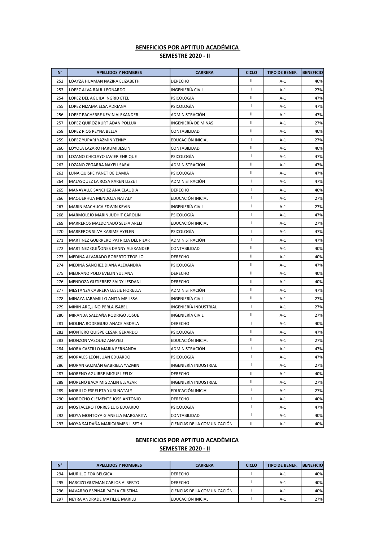| $N^{\circ}$ | <b>APELLIDOS Y NOMBRES</b>           | <b>CARRERA</b>              | <b>CICLO</b>  | TIPO DE BENEF. | <b>BENEFICIO</b> |
|-------------|--------------------------------------|-----------------------------|---------------|----------------|------------------|
| 252         | LOAYZA HUAMAN NAZIRA ELIZABETH       | <b>DERECHO</b>              | Ш             | $A-1$          | 40%              |
| 253         | LOPEZ ALVA RAUL LEONARDO             | INGENIERÍA CIVIL            | $\mathbf{I}$  | $A-1$          | 27%              |
| 254         | LOPEZ DEL AGUILA INGRID ETEL         | <b>PSICOLOGIA</b>           | Ш             | A-1            | 47%              |
| 255         | LOPEZ NIZAMA ELSA ADRIANA            | <b>PSICOLOGIA</b>           | $\mathbf{I}$  | A-1            | 47%              |
| 256         | LOPEZ PACHERRE KEVIN ALEXANDER       | ADMINISTRACIÓN              | Ш             | $A-1$          | 47%              |
| 257         | LOPEZ QUIROZ KURT ADAN POLLUX        | INGENIERÍA DE MINAS         | Ш             | $A-1$          | 27%              |
| 258         | LOPEZ RIOS REYNA BELLA               | CONTABILIDAD                | Ш             | $A-1$          | 40%              |
| 259         | LOPEZ YUPARI YAZMIN YENNY            | EDUCACIÓN INICIAL           | $\mathbf{I}$  | $A-1$          | 27%              |
| 260         | LOYOLA LAZARO HARUMI JESLIN          | CONTABILIDAD                | Ш             | A-1            | 40%              |
| 261         | LOZANO CHICLAYO JAVIER ENRIQUE       | PSICOLOGIA                  | $\mathbf{I}$  | $A-1$          | 47%              |
| 262         | LOZANO ZEGARRA NAYELI SARAI          | ADMINISTRACIÓN              | $\mathbf{II}$ | A-1            | 47%              |
| 263         | LUNA QUISPE YANET DEIDAMIA           | PSICOLOGÍA                  | Ш             | $A-1$          | 47%              |
| 264         | MALASQUEZ LA ROSA KAREN LIZZET       | ADMINISTRACIÓN              | $\mathbf{I}$  | A-1            | 47%              |
| 265         | MANAYALLE SANCHEZ ANA CLAUDIA        | <b>DERECHO</b>              | J.            | A-1            | 40%              |
| 266         | MAQUERHUA MENDOZA NATALY             | EDUCACIÓN INICIAL           | $\mathbf{I}$  | A-1            | 27%              |
| 267         | MARIN MACHUCA EDWIN KEVIN            | <b>INGENIERÍA CIVIL</b>     | T             | A-1            | 27%              |
| 268         | MARMOLEJO MARIN JUDHIT CAROLIN       | PSICOLOGIA                  | $\mathbf{I}$  | $A-1$          | 47%              |
| 269         | MARREROS MALDONADO SELFA ARELI       | EDUCACIÓN INICIAL           | J.            | $A-1$          | 27%              |
| 270         | MARREROS SILVA KARIME AYELEN         | PSICOLOGÍA                  | $\mathbf{I}$  | $A-1$          | 47%              |
| 271         | MARTINEZ GUERRERO PATRICIA DEL PILAR | ADMINISTRACIÓN              | J.            | $A-1$          | 47%              |
| 272         | MARTINEZ QUIÑONES DANNY ALEXANDER    | CONTABILIDAD                | Ш             | A-1            | 40%              |
| 273         | MEDINA ALVARADO ROBERTO TEOFILO      | <b>DERECHO</b>              | $\mathbf{II}$ | $A-1$          | 40%              |
| 274         | MEDINA SANCHEZ DIANA ALEXANDRA       | PSICOLOGIA                  | $\mathbf{II}$ | A-1            | 47%              |
| 275         | MEDRANO POLO EVELIN YULIANA          | <b>DERECHO</b>              | Ш             | $A-1$          | 40%              |
| 276         | MENDOZA GUTIERREZ SAIDY LESDANI      | <b>DERECHO</b>              | Ш             | A-1            | 40%              |
| 277         | MESTANZA CABRERA LESLIE FIORELLA     | ADMINISTRACIÓN              | Ш             | A-1            | 47%              |
| 278         | MINAYA JARAMILLO ANITA MELISSA       | <b>INGENIERÍA CIVIL</b>     | Ш             | A-1            | 27%              |
| 279         | MIÑIN ARQUIÑO PERLA ISABEL           | INGENIERÍA INDUSTRIAL       | T             | A-1            | 27%              |
| 280         | MIRANDA SALDAÑA RODRIGO JOSUE        | INGENIERÍA CIVIL            | $\mathbf{II}$ | $A-1$          | 27%              |
| 281         | MOLINA RODRIGUEZ ANACE ABDALA        | <b>DERECHO</b>              | $\mathbf{I}$  | $A-1$          | 40%              |
| 282         | MONTERO QUISPE CESAR GERARDO         | PSICOLOGÍA                  | $\mathbf{II}$ | A-1            | 47%              |
| 283         | MONZON VASQUEZ ANAYELI               | EDUCACIÓN INICIAL           | Ш             | $A-1$          | 27%              |
| 284         | MORA CASTILLO MARIA FERNANDA         | ADMINISTRACIÓN              | $\mathbf{I}$  | A-1            | 47%              |
| 285         | MORALES LEÓN JUAN EDUARDO            | PSICOLOGÍA                  | T             | $A-1$          | 47%              |
| 286         | MORAN GUZMÁN GABRIELA YAZMIN         | INGENIERÍA INDUSTRIAL       | $\mathbf{I}$  | A-1            | 27%              |
| 287         | MORENO AGUIRRE MIGUEL FELIX          | <b>DERECHO</b>              | Ш             | $A-1$          | 40%              |
| 288         | MORENO BACA MIGDALIN ELEAZAR         | INGENIERÍA INDUSTRIAL       | Ш             | $A-1$          | 27%              |
| 289         | MORILLO ESPELETA YURI NATALY         | EDUCACIÓN INICIAL           | $\mathbf{I}$  | A-1            | 27%              |
| 290         | MOROCHO CLEMENTE JOSE ANTONIO        | <b>DERECHO</b>              | $\mathbf{I}$  | A-1            | 40%              |
| 291         | MOSTACERO TORRES LUIS EDUARDO        | PSICOLOGÍA                  | $\mathbf{I}$  | $A-1$          | 47%              |
| 292         | MOYA MONTOYA GIANELLA MARGARITA      | CONTABILIDAD                | T             | A-1            | 40%              |
| 293         | MOYA SALDAÑA MARICARMEN LISETH       | CIENCIAS DE LA COMUNICACIÓN | Ш             | A-1            | 40%              |

#### **SEMESTRE 2020 - II BENEFICIOS POR APTITUD ACADÉMICA**

| N°  | <b>APELLIDOS Y NOMBRES</b>     | <b>CARRERA</b>              | <b>CICLO</b> | <b>TIPO DE BENEF.</b> | <b>BENEFICIO</b> |
|-----|--------------------------------|-----------------------------|--------------|-----------------------|------------------|
| 294 | <b>MURILLO FOX BELGICA</b>     | <b>DERECHO</b>              |              | A-1                   | 40%              |
| 295 | NARCIZO GUZMAN CARLOS ALBERTO  | <b>DERECHO</b>              |              | $A-1$                 | 40%              |
| 296 | NAVARRO ESPINAR PAOLA CRISTINA | CIENCIAS DE LA COMUNICACIÓN |              | $A-1$                 | 40%              |
| 297 | NEYRA ANDRADE MATILDE MARILU   | EDUCACIÓN INICIAL           |              | $A-1$                 | 27%              |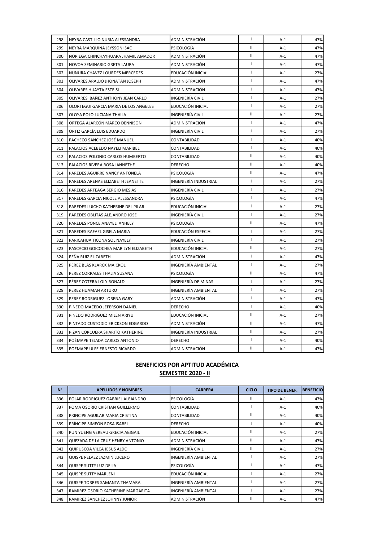| 298 | NEYRA CASTILLO NURIA ALESSANDRA       | ADMINISTRACIÓN        | $\mathbf{I}$  | A-1   | 47% |
|-----|---------------------------------------|-----------------------|---------------|-------|-----|
| 299 | NEYRA MARQUINA JEYSSON ISAC           | PSICOLOGÍA            | Ш             | $A-1$ | 47% |
| 300 | NORIEGA CHINCHAYHUARA JHAMIL AMADOR   | ADMINISTRACIÓN        | $\mathbf{II}$ | $A-1$ | 47% |
| 301 | NOVOA SEMINARIO GRETA LAURA           | ADMINISTRACIÓN        | $\mathbf{I}$  | $A-1$ | 47% |
| 302 | NUNURA CHAVEZ LOURDES MERCEDES        | EDUCACIÓN INICIAL     | $\mathbf{I}$  | $A-1$ | 27% |
| 303 | OLIVARES ARAUJO JHONATAN JOSEPH       | ADMINISTRACIÓN        | $\mathbf{I}$  | $A-1$ | 47% |
| 304 | OLIVARES HUAYTA ESTEISI               | ADMINISTRACIÓN        | $\mathbf{I}$  | $A-1$ | 47% |
| 305 | OLIVARES IBAÑEZ ANTHONY JEAN CARLO    | INGENIERÍA CIVIL      | $\mathbf{I}$  | $A-1$ | 27% |
| 306 | OLORTEGUI GARCIA MARIA DE LOS ANGELES | EDUCACIÓN INICIAL     | $\mathbf{I}$  | $A-1$ | 27% |
| 307 | OLOYA POLO LUCIANA THALIA             | INGENIERÍA CIVIL      | Ш             | $A-1$ | 27% |
| 308 | ORTEGA ALARCÓN MARCO DENNISON         | ADMINISTRACIÓN        | $\mathbf{I}$  | $A-1$ | 47% |
| 309 | ORTIZ GARCÍA LUIS EDUARDO             | INGENIERÍA CIVIL      | $\mathbf{I}$  | $A-1$ | 27% |
| 310 | PACHECO SANCHEZ JOSÉ MANUEL           | CONTABILIDAD          | $\mathbf{I}$  | $A-1$ | 40% |
| 311 | PALACIOS ACEBEDO NAYELI MARIBEL       | CONTABILIDAD          | $\mathbf{I}$  | $A-1$ | 40% |
| 312 | PALACIOS POLONIO CARLOS HUMBERTO      | CONTABILIDAD          | Ш             | $A-1$ | 40% |
| 313 | PALACIOS RIVERA ROSA JANNETHE         | <b>DERECHO</b>        | Ш             | $A-1$ | 40% |
| 314 | PAREDES AGUIRRE NANCY ANTONELA        | PSICOLOGÍA            | Ш             | $A-1$ | 47% |
| 315 | PAREDES ARENAS ELIZABETH JEANETTE     | INGENIERÍA INDUSTRIAL | $\mathbf{I}$  | $A-1$ | 27% |
| 316 | PAREDES ARTEAGA SERGIO MESIAS         | INGENIERÍA CIVIL      | $\mathbf{I}$  | $A-1$ | 27% |
| 317 | PAREDES GARCIA NICOLE ALESSANDRA      | PSICOLOGÍA            | $\mathbf{I}$  | $A-1$ | 47% |
| 318 | PAREDES LUICHO KATHERINE DEL PILAR    | EDUCACIÓN INICIAL     | $\mathbf{I}$  | $A-1$ | 27% |
| 319 | PAREDES OBLITAS ALEJANDRO JOSE        | INGENIERÍA CIVIL      | J.            | $A-1$ | 27% |
| 320 | PAREDES PONCE ANAYELI ANHELY          | PSICOLOGÍA            | Ш             | $A-1$ | 47% |
| 321 | PAREDES RAFAEL GISELA MARIA           | EDUCACIÓN ESPECIAL    | $\mathbf{I}$  | $A-1$ | 27% |
| 322 | PARICAHUA TICONA SOL NAYELY           | INGENIERÍA CIVIL      | $\mathbf{I}$  | $A-1$ | 27% |
| 323 | PASCACIO GOICOCHEA MARILYN ELIZABETH  | EDUCACIÓN INICIAL     | $\mathbf{II}$ | $A-1$ | 27% |
| 324 | PEÑA RUIZ ELIZABETH                   | ADMINISTRACIÓN        | $\mathbf{I}$  | $A-1$ | 47% |
| 325 | PEREZ BLAS KLARCK MAICKOL             | INGENIERÍA AMBIENTAL  | $\mathbf{I}$  | $A-1$ | 27% |
| 326 | PEREZ CORRALES THALIA SUSANA          | PSICOLOGIA            | Ш             | A-1   | 47% |
| 327 | PÉREZ COTERA LOLY RONALD              | INGENIERÍA DE MINAS   | $\mathbf{I}$  | $A-1$ | 27% |
| 328 | PEREZ HUAMAN ARTURO                   | INGENIERÍA AMBIENTAL  | $\mathbf{I}$  | $A-1$ | 27% |
| 329 | PEREZ RODRIGUEZ LORENA GABY           | ADMINISTRACIÓN        | $\mathbf{I}$  | $A-1$ | 47% |
| 330 | PINEDO MACEDO JEFERSON DANIEL         | <b>DERECHO</b>        | $\mathbf{I}$  | $A-1$ | 40% |
| 331 | PINEDO RODRIGUEZ MILEN ARIYU          | EDUCACIÓN INICIAL     | $\mathbf{II}$ | $A-1$ | 27% |
| 332 | PINTADO CUSTODIO ERICKSON EDGARDO     | ADMINISTRACIÓN        | Ш             | $A-1$ | 47% |
| 333 | PIZAN CORCUERA SHARITO KATHERINE      | INGENIERÍA INDUSTRIAL | Ш             | $A-1$ | 27% |
| 334 | POÉMAPE TEJADA CARLOS ANTONIO         | <b>DERECHO</b>        | J.            | $A-1$ | 40% |
| 335 | POEMAPE ULFE ERNESTO RICARDO          | ADMINISTRACIÓN        | $\rm H$       | $A-1$ | 47% |

| $N^{\circ}$ | <b>APELLIDOS Y NOMBRES</b>           | <b>CARRERA</b>       | <b>CICLO</b> | <b>TIPO DE BENEF.</b> | <b>BENEFICIO</b> |
|-------------|--------------------------------------|----------------------|--------------|-----------------------|------------------|
| 336         | POLAR RODRIGUEZ GABRIEL ALEJANDRO    | PSICOLOGÍA           | Ш            | $A-1$                 | 47%              |
| 337         | POMA OSORIO CRISTIAN GUILLERMO       | CONTABILIDAD         |              | $A-1$                 | 40%              |
| 338         | PRINCIPE AGUILAR MARIA CRISTINA      | CONTABILIDAD         | Ш            | $A-1$                 | 40%              |
| 339         | PRÍNCIPE SIMEÓN ROSA ISABEL          | <b>DERECHO</b>       |              | $A-1$                 | 40%              |
| 340         | PUN YUENG VEREAU GRECIA ABIGAIL      | EDUCACIÓN INICIAL    | Ш            | $A-1$                 | 27%              |
| 341         | QUEZADA DE LA CRUZ HENRY ANTONIO     | ADMINISTRACIÓN       | Ш            | $A-1$                 | 47%              |
| 342         | QUIPUSCOA VILCA JESUS ALDO           | INGENIERÍA CIVIL     | Ш            | $A-1$                 | 27%              |
| 343         | QUISPE PELAEZ JAZMIN LUCERO          | INGENIERÍA AMBIENTAL |              | $A-1$                 | 27%              |
| 344         | QUISPE SUTTY LUZ DELIA               | PSICOLOGÍA           |              | $A-1$                 | 47%              |
| 345         | <b>QUISPE SUTTY MARLENI</b>          | EDUCACIÓN INICIAL    |              | $A-1$                 | 27%              |
| 346         | QUISPE TORRES SAMANTA THAMARA        | INGENIERÍA AMBIENTAL |              | $A-1$                 | 27%              |
| 347         | RAMIREZ OSORIO KATHERINE MARGARITA   | INGENIERÍA AMBIENTAL |              | $A-1$                 | 27%              |
| 348         | <b>RAMIREZ SANCHEZ JOHNNY JUNIOR</b> | ADMINISTRACIÓN       | Ш            | $A-1$                 | 47%              |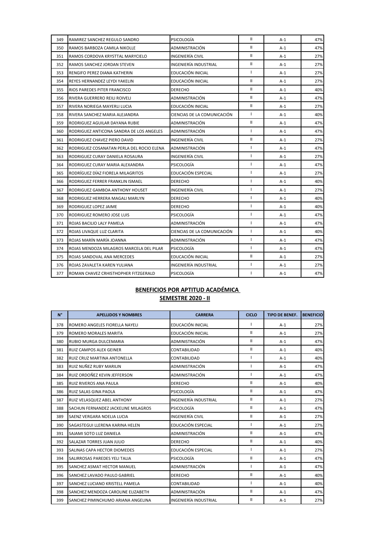| 349 | RAMIREZ SANCHEZ REGULO SANDRO             | PSICOLOGÍA                  | $\mathbf{II}$  | $A-1$ | 47% |
|-----|-------------------------------------------|-----------------------------|----------------|-------|-----|
| 350 | RAMOS BARBOZA CAMILA NIKOLLE              | ADMINISTRACIÓN              | $\mathbf{II}$  | $A-1$ | 47% |
| 351 | RAMOS CORDOVA KRYSTTAL MARYCIELO          | INGENIERÍA CIVIL            | $\mathbf{II}$  | $A-1$ | 27% |
| 352 | RAMOS SANCHEZ JORDAN STEVEN               | INGENIERÍA INDUSTRIAL       | $\mathbf{II}$  | $A-1$ | 27% |
| 353 | RENGIFO PEREZ DIANA KATHERIN              | EDUCACIÓN INICIAL           | $\mathbf{I}$   | $A-1$ | 27% |
| 354 | REYES HERNANDEZ LEYDI YAKELIN             | EDUCACIÓN INICIAL           | $\mathbf{II}$  | $A-1$ | 27% |
| 355 | RIOS PAREDES PITER FRANCISCO              | <b>DERECHO</b>              | $\mathbf{II}$  | $A-1$ | 40% |
| 356 | RIVERA GUERRERO REILI ROIVELI             | ADMINISTRACIÓN              | $\mathbf{II}$  | $A-1$ | 47% |
| 357 | RIVERA NORIEGA MAYERLI LUCIA              | EDUCACIÓN INICIAL           | $\mathbf{II}$  | A-1   | 27% |
| 358 | RIVERA SANCHEZ MARIA ALEJANDRA            | CIENCIAS DE LA COMUNICACIÓN | $\mathbf{I}$   | $A-1$ | 40% |
| 359 | RODRIGUEZ AGUILAR DAYANA RUBIE            | ADMINISTRACIÓN              | $\mathbf{II}$  | $A-1$ | 47% |
| 360 | RODRIGUEZ ANTICONA SANDRA DE LOS ANGELES  | ADMINISTRACIÓN              | $\mathbf{I}$   | $A-1$ | 47% |
| 361 | RODRIGUEZ CHAVEZ PIERO DAVID              | INGENIERÍA CIVIL            | $\mathbf{II}$  | $A-1$ | 27% |
| 362 | RODRIGUEZ COSANATAN PERLA DEL ROCIO ELENA | ADMINISTRACIÓN              | $\mathbf{I}$   | $A-1$ | 47% |
| 363 | RODRIGUEZ CURAY DANIELA ROSAURA           | INGENIERÍA CIVIL            | $\mathbf{I}$   | $A-1$ | 27% |
| 364 | RODRIGUEZ CURAY MARIA ALEXANDRA           | PSICOLOGÍA                  | $\blacksquare$ | $A-1$ | 47% |
| 365 | RODRÍGUEZ DÍAZ FIORELA MILAGRITOS         | EDUCACIÓN ESPECIAL          | $\mathbf{I}$   | $A-1$ | 27% |
| 366 | RODRIGUEZ FERRER FRANKLIN ISMAEL          | <b>DERECHO</b>              | $\mathbf{I}$   | $A-1$ | 40% |
| 367 | RODRIGUEZ GAMBOA ANTHONY HOUSET           | INGENIERÍA CIVIL            | $\mathbf{I}$   | $A-1$ | 27% |
| 368 | RODRIGUEZ HERRERA MAGALI MARLYN           | <b>DERECHO</b>              | $\mathbf{I}$   | $A-1$ | 40% |
| 369 | RODRIGUEZ LOPEZ JAIME                     | <b>DERECHO</b>              | $\mathbf{I}$   | $A-1$ | 40% |
| 370 | RODRIGUEZ ROMERO JOSE LUIS                | PSICOLOGÍA                  | $\mathbf{I}$   | $A-1$ | 47% |
| 371 | ROJAS BACILIO LALY PAMELA                 | ADMINISTRACIÓN              | $\mathbf{I}$   | $A-1$ | 47% |
| 372 | ROJAS LIVAQUE LUZ CLARITA                 | CIENCIAS DE LA COMUNICACIÓN | $\mathbf{I}$   | A-1   | 40% |
| 373 | ROJAS MARÍN MARÍA JOANNA                  | ADMINISTRACIÓN              | $\mathbf{I}$   | $A-1$ | 47% |
| 374 | ROJAS MENDOZA MILAGROS MARCELA DEL PILAR  | PSICOLOGÍA                  | $\mathbf{I}$   | $A-1$ | 47% |
| 375 | ROJAS SANDOVAL ANA MERCEDES               | EDUCACIÓN INICIAL           | $\mathbf{II}$  | $A-1$ | 27% |
| 376 | ROJAS ZAVALETA KAREN YULIANA              | INGENIERÍA INDUSTRIAL       | $\mathbf{I}$   | $A-1$ | 27% |
| 377 | ROMAN CHAVEZ CRHISTHOPHER FITZGERALD      | <b>PSICOLOGÍA</b>           | $\mathbf{I}$   | $A-1$ | 47% |

| $N^{\circ}$ | <b>APELLIDOS Y NOMBRES</b>          | <b>CARRERA</b>               | <b>CICLO</b>  | <b>TIPO DE BENEF.</b> | <b>BENEFICIO</b> |
|-------------|-------------------------------------|------------------------------|---------------|-----------------------|------------------|
| 378         | ROMERO ANGELES FIORELLA NAYELI      | EDUCACIÓN INICIAL            | ı             | $A-1$                 | 27%              |
| 379         | ROMERO MORALES MARITA               | EDUCACIÓN INICIAL            | $\mathbf{II}$ | $A-1$                 | 27%              |
| 380         | RUBIO MURGA DULCEMARIA              | ADMINISTRACIÓN               | $\mathbf{II}$ | $A-1$                 | 47%              |
| 381         | <b>RUIZ CAMPOS ALEX GEINER</b>      | CONTABILIDAD                 | $\mathbf{I}$  | $A-1$                 | 40%              |
| 382         | RUIZ CRUZ MARTINA ANTONELLA         | CONTABILIDAD                 | I             | $A-1$                 | 40%              |
| 383         | RUIZ NUÑEZ RUBY MARILIN             | ADMINISTRACIÓN               | I             | $A-1$                 | 47%              |
| 384         | RUIZ ORDOÑEZ KEVIN JEFFERSON        | ADMINISTRACIÓN               | $\mathbf{I}$  | $A-1$                 | 47%              |
| 385         | <b>RUIZ RIVEROS ANA PAULA</b>       | <b>DERECHO</b>               | $\mathbf{II}$ | $A-1$                 | 40%              |
| 386         | RUIZ SALAS GINA PAOLA               | PSICOLOGÍA                   | $\mathbf{I}$  | $A-1$                 | 47%              |
| 387         | RUIZ VELASQUEZ ABEL ANTHONY         | <b>INGENIERÍA INDUSTRIAL</b> | $\mathbf{I}$  | $A-1$                 | 27%              |
| 388         | SACHUN FERNANDEZ JACKELINE MILAGROS | <b>PSICOLOGÍA</b>            | $\mathbf{II}$ | $A-1$                 | 47%              |
| 389         | SAENZ VERGARA NOELIA LUCIA          | <b>INGENIERÍA CIVIL</b>      | $\mathbf{II}$ | $A-1$                 | 27%              |
| 390         | SAGASTEGUI LLERENA KARINA HELEN     | EDUCACIÓN ESPECIAL           | $\mathbf{I}$  | $A-1$                 | 27%              |
| 391         | SAJAMI SOTO LUZ DANIELA             | ADMINISTRACIÓN               | $\mathbf{I}$  | $A-1$                 | 47%              |
| 392         | SALAZAR TORRES JUAN JULIO           | <b>DERECHO</b>               | $\mathbf{I}$  | $A-1$                 | 40%              |
| 393         | SALINAS CAPA HECTOR DIOMEDES        | EDUCACIÓN ESPECIAL           | $\mathbf{I}$  | $A-1$                 | 27%              |
| 394         | SALIRROSAS PAREDES YELI TALIA       | PSICOLOGÍA                   | $\mathbf{I}$  | $A-1$                 | 47%              |
| 395         | SANCHEZ ASMAT HECTOR MANUEL         | ADMINISTRACIÓN               | $\mathbf{I}$  | $A-1$                 | 47%              |
| 396         | SANCHEZ LAVADO PAULO GABRIEL        | <b>DERECHO</b>               | $\mathbf{I}$  | $A-1$                 | 40%              |
| 397         | SANCHEZ LUCIANO KRISTELL PAMELA     | CONTABILIDAD                 | I             | $A-1$                 | 40%              |
| 398         | SANCHEZ MENDOZA CAROLINE ELIZABETH  | ADMINISTRACIÓN               | $\mathbf{II}$ | $A-1$                 | 47%              |
| 399         | SANCHEZ PIMINCHUMO ARIANA ANGELINA  | <b>INGENIERÍA INDUSTRIAL</b> | $\mathbf{I}$  | $A-1$                 | 27%              |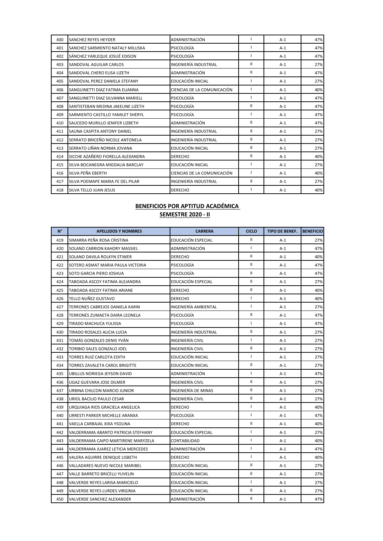| 400 | <b>SANCHEZ REYES HEYDER</b>        | ADMINISTRACIÓN              |   | $A-1$ | 47% |
|-----|------------------------------------|-----------------------------|---|-------|-----|
| 401 | SANCHEZ SARMIENTO NATALY MILUSKA   | PSICOLOGÍA                  |   | $A-1$ | 47% |
| 402 | SÁNCHEZ YARLEQUE JOSUÉ EDISON      | <b>PSICOLOGÍA</b>           |   | $A-1$ | 47% |
| 403 | SANDOVAL AGUILAR CARLOS            | INGENIERÍA INDUSTRIAL       | Ш | $A-1$ | 27% |
| 404 | SANDOVAL CHERO ELISA LIZETH        | ADMINISTRACIÓN              | Ш | $A-1$ | 47% |
| 405 | SANDOVAL PEREZ DANIELA STEFANY     | EDUCACIÓN INICIAL           |   | $A-1$ | 27% |
| 406 | SANGUINETTI DIAZ FATIMA ELIANNA    | CIENCIAS DE LA COMUNICACIÓN |   | $A-1$ | 40% |
| 407 | SANGUINETTI DIAZ SILVANNA MARIELL  | <b>PSICOLOGÍA</b>           |   | $A-1$ | 47% |
| 408 | SANTISTEBAN MEDINA JAKELINE LIZETH | <b>PSICOLOGÍA</b>           | Ш | $A-1$ | 47% |
| 409 | SARMIENTO CASTILLO YAMILET SHERYL  | <b>PSICOLOGÍA</b>           |   | $A-1$ | 47% |
| 410 | SAUCEDO MURILLO JENIFER LIZBETH    | ADMINISTRACIÓN              | Ш | $A-1$ | 47% |
| 411 | SAUNA CASPITA ANTONY DANIEL        | INGENIERÍA INDUSTRIAL       | Ш | $A-1$ | 27% |
| 412 | SERRATO BRICEÑO NICOLE ANTONELA    | INGENIERÍA INDUSTRIAL       | Ш | $A-1$ | 27% |
| 413 | SERRATO LIÑAN NORMA JOVANA         | EDUCACIÓN INICIAL           | Ш | $A-1$ | 27% |
| 414 | SICCHE AZAÑERO FIORELLA ALEXANDRA  | <b>DERECHO</b>              | Ш | $A-1$ | 40% |
| 415 | SILVA BOCANEGRA MIGDALIA BARCLAY   | EDUCACIÓN INICIAL           |   | $A-1$ | 27% |
| 416 | SILVA PEÑA EBERTH                  | CIENCIAS DE LA COMUNICACIÓN |   | $A-1$ | 40% |
| 417 | SILVA POEMAPE MARIA FE DEL PILAR   | INGENIERÍA INDUSTRIAL       | Ш | $A-1$ | 27% |
| 418 | SILVA TELLO JUAN JESUS             | <b>DERECHO</b>              |   | $A-1$ | 40% |

| $N^{\circ}$ | <b>APELLIDOS Y NOMBRES</b>          | <b>CARRERA</b>        | <b>CICLO</b>             | <b>TIPO DE BENEF.</b> | <b>BENEFICIO</b> |
|-------------|-------------------------------------|-----------------------|--------------------------|-----------------------|------------------|
| 419         | SIMARRA PEÑA ROSA CRISTINA          | EDUCACIÓN ESPECIAL    | $\mathbf{II}$            | $A-1$                 | 27%              |
| 420         | SOLANO CARRION KAHORY MASSIEL       | ADMINISTRACIÓN        | $\mathbf{I}$             | $A-1$                 | 47%              |
| 421         | SOLANO DAVILA ROLKYN STIWER         | <b>DERECHO</b>        | $\mathbf{II}$            | $A-1$                 | 40%              |
| 422         | SOTERO ASMAT MARIA PAULA VICTORIA   | PSICOLOGÍA            | $\mathbf{II}$            | $A-1$                 | 47%              |
| 423         | SOTO GARCIA PIERO JOSHUA            | PSICOLOGÍA            | $\mathbf{II}$            | $A-1$                 | 47%              |
| 424         | TABOADA ASCOY FATIMA ALEJANDRA      | EDUCACIÓN ESPECIAL    | $\mathbf{II}$            | $A-1$                 | 27%              |
| 425         | TABOADA ASCOY FATIMA ARIANE         | <b>DERECHO</b>        | $\mathsf{I}$             | $A-1$                 | 40%              |
| 426         | TELLO NUÑEZ GUSTAVO                 | <b>DERECHO</b>        | T                        | $A-1$                 | 40%              |
| 427         | TERRONES CABREJOS DANIELA KARIN     | INGENIERÍA AMBIENTAL  | $\mathbf{I}$             | $A-1$                 | 27%              |
| 428         | TERRONES ZUMAETA DAIRA LEONELA      | PSICOLOGÍA            | $\mathbf{II}$            | $A-1$                 | 47%              |
| 429         | TIRADO MACHUCA YULISSA              | PSICOLOGIA            | $\mathbf{I}$             | $A-1$                 | 47%              |
| 430         | TIRADO ROSALES ALICIA LUCIA         | INGENIERÍA INDUSTRIAL | $\mathbf{II}$            | $A-1$                 | 27%              |
| 431         | TOMÁS GONZALES DENIS YVÁN           | INGENIERÍA CIVIL      | $\mathbf{I}$             | $A-1$                 | 27%              |
| 432         | TORIBIO SALES GONZALO JOEL          | INGENIERÍA CIVIL      | $\mathbf{II}$            | $A-1$                 | 27%              |
| 433         | TORRES RUIZ CARLOTA EDITH           | EDUCACIÓN INICIAL     | $\overline{1}$           | $A-1$                 | 27%              |
| 434         | TORRES ZAVALETA CAROL BRIGITTE      | EDUCACIÓN INICIAL     | $\mathsf{I}$             | $A-1$                 | 27%              |
| 435         | UBILLUS NORIEGA JEYSON DAVID        | ADMINISTRACIÓN        | $\mathbf{I}$             | $A-1$                 | 47%              |
| 436         | UGAZ GUEVARA JOSE DILMER            | INGENIERÍA CIVIL      | $\mathbf{I}$             | $A-1$                 | 27%              |
| 437         | URBINA CHILCON MARCIO JUNIOR        | INGENIERÍA DE MINAS   | Ш                        | $A-1$                 | 27%              |
| 438         | URIOL BACILIO PAULO CESAR           | INGENIERÍA CIVIL      | Ш                        | $A-1$                 | 27%              |
| 439         | URQUIAGA RIOS GRACIELA ANGELICA     | <b>DERECHO</b>        | $\mathbf{I}$             | $A-1$                 | 40%              |
| 440         | URRESTI PARKER MICHELLE ARANXA      | PSICOLOGÍA            | $\mathbf{I}$             | $A-1$                 | 47%              |
| 441         | VAELLA CARBAJAL XIXA YSOLINA        | <b>DERECHO</b>        | Ш                        | $A-1$                 | 40%              |
| 442         | VALDERRAMA ABANTO PATRICIA STEFHANY | EDUCACIÓN ESPECIAL    | $\mathbf{I}$             | $A-1$                 | 27%              |
| 443         | VALDERRAMA CAIPO MARTIRENE MARYZELA | CONTABILIDAD          | $\mathbf{I}$             | $A-1$                 | 40%              |
| 444         | VALDERRAMA JUAREZ LETICIA MERCEDES  | ADMINISTRACIÓN        | $\overline{1}$           | $A-1$                 | 47%              |
| 445         | VALERA AGUIRRE DENIQUE LISBETH      | <b>DERECHO</b>        | $\overline{\phantom{a}}$ | $A-1$                 | 40%              |
| 446         | VALLADARES NUEVO NICOLE MARIBEL     | EDUCACIÓN INICIAL     | $\mathbf{I}$             | $A-1$                 | 27%              |
| 447         | VALLE BARRETO BRICELLI YUVELIN      | EDUCACIÓN INICIAL     | $\mathbf{II}$            | $A-1$                 | 27%              |
| 448         | VALVERDE REYES LARISA MARICIELO     | EDUCACIÓN INICIAL     | $\mathbf{I}$             | $A-1$                 | 27%              |
| 449         | VALVERDE REYES LURDES VIRGINIA      | EDUCACIÓN INICIAL     | $\mathbf{II}$            | $A-1$                 | 27%              |
| 450         | VALVERDE SANCHEZ ALEXANDER          | ADMINISTRACIÓN        | $\mathbf{II}$            | A-1                   | 47%              |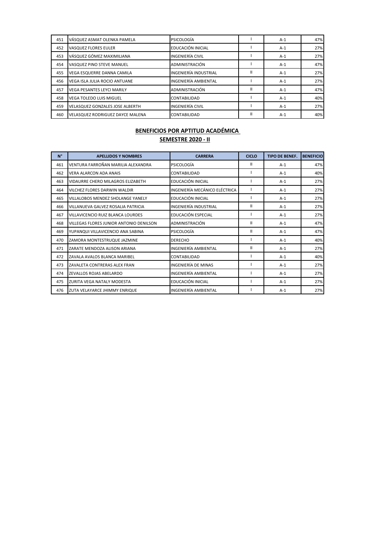| 451 | VÁSQUEZ ASMAT OLENKA PAMELA             | PSICOLOGÍA              |   | $A-1$ | 47% |
|-----|-----------------------------------------|-------------------------|---|-------|-----|
| 452 | VASQUEZ FLORES EULER                    | EDUCACIÓN INICIAL       |   | $A-1$ | 27% |
| 453 | VÁSQUEZ GÓMEZ MAXIMILIANA               | <b>INGENIERÍA CIVIL</b> |   | $A-1$ | 27% |
| 454 | VASQUEZ PINO STEVE MANUEL               | ADMINISTRACIÓN          |   | $A-1$ | 47% |
| 455 | VEGA ESQUERRE DANNA CAMILA              | INGENIERÍA INDUSTRIAL   | Ш | $A-1$ | 27% |
| 456 | <b>VEGA ISLA JULIA ROCIO ANTUANE</b>    | INGENIERÍA AMBIENTAL    |   | $A-1$ | 27% |
| 457 | <b>VEGA PESANTES LEYCI MARILY</b>       | ADMINISTRACIÓN          | Ш | $A-1$ | 47% |
| 458 | <b>VEGA TOLEDO LUIS MIGUEL</b>          | CONTABILIDAD            |   | $A-1$ | 40% |
| 459 | <b>VELASQUEZ GONZALES JOSE ALBERTH</b>  | <b>INGENIERÍA CIVIL</b> |   | $A-1$ | 27% |
| 460 | <b>VELASQUEZ RODRIGUEZ DAYCE MALENA</b> | CONTABILIDAD            | Ш | $A-1$ | 40% |

| $N^{\circ}$ | <b>APELLIDOS Y NOMBRES</b>              | <b>CARRERA</b>                | <b>CICLO</b>  | <b>TIPO DE BENEF.</b> | <b>BENEFICIO</b> |
|-------------|-----------------------------------------|-------------------------------|---------------|-----------------------|------------------|
| 461         | VENTURA FARROÑAN MARILIA ALEXANDRA      | PSICOLOGÍA                    | $\mathbf{H}$  | $A-1$                 | 47%              |
| 462         | VERA ALARCON ADA ANAIS                  | CONTABILIDAD                  |               | $A-1$                 | 40%              |
| 463         | VIDAURRE CHERO MILAGROS ELIZABETH       | EDUCACIÓN INICIAL             |               | $A-1$                 | 27%              |
| 464         | VILCHEZ FLORES DARWIN WALDIR            | INGENIERÍA MECÁNICO ELÉCTRICA |               | $A-1$                 | 27%              |
| 465         | VILLALOBOS MENDEZ SHOLANGE YANELY       | EDUCACIÓN INICIAL             |               | $A-1$                 | 27%              |
| 466         | VILLANUEVA GALVEZ ROSALIA PATRICIA      | <b>INGENIERÍA INDUSTRIAL</b>  | $\mathbf{II}$ | $A-1$                 | 27%              |
| 467         | VILLAVICENCIO RUIZ BLANCA LOURDES       | EDUCACIÓN ESPECIAL            |               | $A-1$                 | 27%              |
| 468         | VILLEGAS FLORES JUNIOR ANTONIO DENILSON | ADMINISTRACIÓN                | $\mathbf{H}$  | $A-1$                 | 47%              |
| 469         | YUPANQUI VILLAVICENCIO ANA SABINA       | PSICOLOGÍA                    | $\mathbf{I}$  | $A-1$                 | 47%              |
| 470         | ZAMORA MONTESTRUQUE JAZMINE             | <b>DERECHO</b>                |               | $A-1$                 | 40%              |
| 471         | ZARATE MENDOZA ALISON ARIANA            | INGENIERÍA AMBIENTAL          | $\mathbf{I}$  | $A-1$                 | 27%              |
| 472         | ZAVALA AVALOS BLANCA MARIBEL            | CONTABILIDAD                  |               | $A-1$                 | 40%              |
| 473         | ZAVALETA CONTRERAS ALEX FRAN            | INGENIERÍA DE MINAS           |               | $A-1$                 | 27%              |
| 474         | ZEVALLOS ROJAS ABELARDO                 | INGENIERÍA AMBIENTAL          |               | $A-1$                 | 27%              |
| 475         | ZURITA VEGA NATALY MODESTA              | EDUCACIÓN INICIAL             |               | $A-1$                 | 27%              |
| 476         | ZUTA VELAYARCE JHIMMY ENRIQUE           | INGENIERÍA AMBIENTAL          |               | $A-1$                 | 27%              |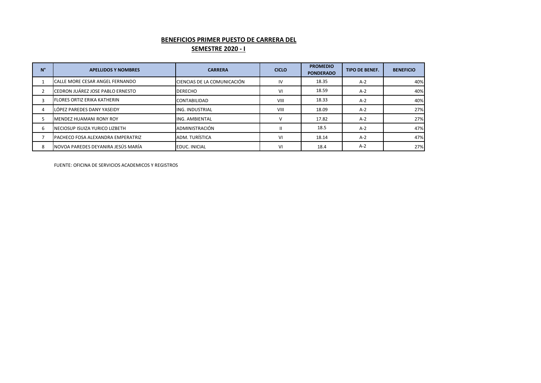# **BENEFICIOS PRIMER PUESTO DE CARRERA DEL**

# **SEMESTRE 2020 - I**

| N° | <b>APELLIDOS Y NOMBRES</b>         | <b>CARRERA</b>              | <b>CICLO</b> | <b>PROMEDIO</b><br><b>PONDERADO</b> | <b>TIPO DE BENEF.</b> | <b>BENEFICIO</b> |
|----|------------------------------------|-----------------------------|--------------|-------------------------------------|-----------------------|------------------|
|    | CALLE MORE CESAR ANGEL FERNANDO    | CIENCIAS DE LA COMUNICACIÓN | IV           | 18.35                               | $A-2$                 | 40%              |
|    | CEDRON JUÁREZ JOSE PABLO ERNESTO   | <b>DERECHO</b>              | VI           | 18.59                               | $A-2$                 | 40%              |
| 3  | <b>FLORES ORTIZ ERIKA KATHERIN</b> | <b>CONTABILIDAD</b>         | VIII         | 18.33                               | $A-2$                 | 40%              |
| 4  | LÓPEZ PAREDES DANY YASEIDY         | <b>IING. INDUSTRIAL</b>     | VIII         | 18.09                               | $A-2$                 | 27%              |
|    | MENDEZ HUAMANI RONY ROY            | <b>ING. AMBIENTAL</b>       |              | 17.82                               | $A-2$                 | 27%              |
| 6  | NECIOSUP ISUIZA YURICO LIZBETH     | ADMINISTRACIÓN              |              | 18.5                                | $A-2$                 | 47%              |
|    | PACHECO FOSA ALEXANDRA EMPERATRIZ  | ADM. TURÍSTICA              | VI           | 18.14                               | $A-2$                 | 47%              |
| 8  | NOVOA PAREDES DEYANIRA JESÚS MARÍA | <b>EDUC. INICIAL</b>        | VI           | 18.4                                | $A-2$                 | 27%              |

FUENTE: OFICINA DE SERVICIOS ACADEMICOS Y REGISTROS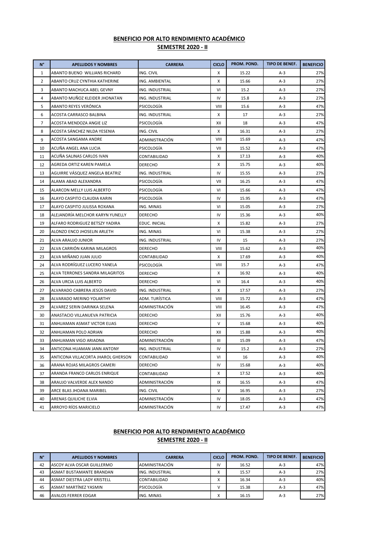| $N^{\circ}$    | <b>APELLIDOS Y NOMBRES</b>         | <b>CARRERA</b>  | <b>CICLO</b> | PROM. POND. | <b>TIPO DE BENEF.</b> | <b>BENEFICIO</b> |
|----------------|------------------------------------|-----------------|--------------|-------------|-----------------------|------------------|
| 1              | ABANTO BUENO WILLIANS RICHARD      | ING. CIVIL      | Χ            | 15.22       | $A-3$                 | 27%              |
| $\overline{2}$ | ABANTO CRUZ CYNTHIA KATHERINE      | ING. AMBIENTAL  | Χ            | 15.66       | $A-3$                 | 27%              |
| 3              | ABANTO MACHUCA ABEL GEVNY          | ING. INDUSTRIAL | VI           | 15.2        | $A-3$                 | 27%              |
| 4              | ABANTO MUÑOZ KLEIDER JHONATAN      | ING. INDUSTRIAL | IV           | 15.8        | $A-3$                 | 27%              |
| 5              | ABANTO REYES VERÓNICA              | PSICOLOGIA      | VIII         | 15.6        | $A-3$                 | 47%              |
| 6              | ACOSTA CARRASCO BALBINA            | ING. INDUSTRIAL | X            | 17          | $A-3$                 | 27%              |
| 7              | ACOSTA MENDOZA ANGIE LIZ           | PSICOLOGÍA      | XII          | 18          | $A-3$                 | 47%              |
| 8              | ACOSTA SÁNCHEZ NILDA YESENIA       | ING. CIVIL      | X            | 16.31       | $A-3$                 | 27%              |
| 9              | ACOSTA SANGAMA ANDRE               | ADMINISTRACIÓN  | VIII         | 15.69       | $A-3$                 | 47%              |
| 10             | ACUÑA ANGEL ANA LUCIA              | PSICOLOGIA      | VII          | 15.52       | $A-3$                 | 47%              |
| 11             | ACUÑA SALINAS CARLOS IVAN          | CONTABILIDAD    | Χ            | 17.13       | $A-3$                 | 40%              |
| 12             | AGREDA ORTIZ KAREN PAMELA          | <b>DERECHO</b>  | х            | 15.75       | $A-3$                 | 40%              |
| 13             | AGUIRRE VÁSQUEZ ANGELA BEATRIZ     | ING. INDUSTRIAL | IV           | 15.55       | $A-3$                 | 27%              |
| 14             | ALAMA ABAD ALEXANDRA               | PSICOLOGIA      | VII          | 16.25       | $A-3$                 | 47%              |
| 15             | ALARCON MELLY LUIS ALBERTO         | PSICOLOGIA      | VI           | 15.66       | $A-3$                 | 47%              |
| 16             | ALAYO CASPITO CLAUDIA KARIN        | PSICOLOGIA      | IV           | 15.95       | $A-3$                 | 47%              |
| 17             | ALAYO CASPITO JULISSA ROXANA       | ING. MINAS      | VI           | 15.05       | $A-3$                 | 27%              |
| 18             | ALEJANDRÍA MELCHOR KARYN YUNELLY   | <b>DERECHO</b>  | IV           | 15.36       | $A-3$                 | 40%              |
| 19             | ALFARO RODRIGUEZ BETSZY YADIRA     | EDUC. INICIAL   | X            | 15.82       | $A-3$                 | 27%              |
| 20             | ALONZO ENCO JHOSELIN ARLETH        | ING. MINAS      | VI           | 15.38       | $A-3$                 | 27%              |
| 21             | ALVA ARAUJO JUNIOR                 | ING. INDUSTRIAL | IV           | 15          | $A-3$                 | 27%              |
| 22             | ALVA CARRIÓN KARINA MILAGROS       | <b>DERECHO</b>  | VIII         | 15.62       | $A-3$                 | 40%              |
| 23             | ALVA MIÑANO JUAN JULIO             | CONTABILIDAD    | X            | 17.69       | $A-3$                 | 40%              |
| 24             | ALVA RODRÍGUEZ LUCERO YANELA       | PSICOLOGÍA      | VIII         | 15.7        | $A-3$                 | 47%              |
| 25             | ALVA TERRONES SANDRA MILAGRITOS    | <b>DERECHO</b>  | Χ            | 16.92       | $A-3$                 | 40%              |
| 26             | ALVA URCIA LUIS ALBERTO            | <b>DERECHO</b>  | VI           | 16.4        | $A-3$                 | 40%              |
| 27             | ALVARADO CABRERA JESÚS DAVID       | ING. INDUSTRIAL | X            | 17.57       | $A-3$                 | 27%              |
| 28             | ALVARADO MERINO YOLARTHY           | ADM. TURÍSTICA  | VIII         | 15.72       | $A-3$                 | 47%              |
| 29             | ALVAREZ SERIN DARINKA SELENA       | ADMINISTRACIÓN  | VIII         | 16.45       | $A-3$                 | 47%              |
| 30             | ANASTACIO VILLANUEVA PATRICIA      | <b>DERECHO</b>  | XII          | 15.76       | $A-3$                 | 40%              |
| 31             | ANHUAMAN ASMAT VICTOR ELIAS        | <b>DERECHO</b>  | V            | 15.68       | $A-3$                 | 40%              |
| 32             | ANHUAMAN POLO ADRIAN               | <b>DERECHO</b>  | XII          | 15.88       | $A-3$                 | 40%              |
| 33             | ANHUAMAN VIGO ARIADNA              | ADMINISTRACIÓN  | Ш            | 15.09       | $A-3$                 | 47%              |
| 34             | ANTICONA HUAMAN JANN ANTONY        | ING. INDUSTRIAL | IV.          | 15.2        | A-3                   | 27%              |
| 35             | ANTICONA VILLACORTA JHAROL GHERSON | CONTABILIDAD    | VI           | 16          | $A-3$                 | 40%              |
| 36             | ARANA ROJAS MILAGROS CAMERI        | DERECHO         | IV           | 15.68       | $A-3$                 | 40%              |
| 37             | ARANDA FRANCO CARLOS ENRIQUE       | CONTABILIDAD    | х            | 17.52       | $A-3$                 | 40%              |
| 38             | ARAUJO VALVERDE ALEX NANDO         | ADMINISTRACIÓN  | IX           | 16.55       | $A-3$                 | 47%              |
| 39             | ARCE BLAS JHOANA MARIBEL           | ING. CIVIL      | V            | 16.95       | $A-3$                 | 27%              |
| 40             | ARENAS QUILICHE ELVIA              | ADMINISTRACIÓN  | IV           | 18.05       | A-3                   | 47%              |
| 41             | ARROYO RÍOS MARICIELO              | ADMINISTRACIÓN  | IV           | 17.47       | $A-3$                 | 47%              |

| $N^{\circ}$ | <b>APELLIDOS Y NOMBRES</b>  | <b>CARRERA</b>         | <b>CICLO</b>      | <b>PROM. POND.</b> | <b>TIPO DE BENEF.</b> | <b>BENEFICIO</b> |
|-------------|-----------------------------|------------------------|-------------------|--------------------|-----------------------|------------------|
| 42          | ASCOY ALVA OSCAR GUILLERMO  | ADMINISTRACIÓN         | IV                | 16.52              | $A-3$                 | 47%              |
| 43          | ASMAT BUSTAMANTE BRANDAN    | <b>ING. INDUSTRIAL</b> |                   | 15.57              | $A-3$                 | 27%              |
| 44          | ASMAT DIESTRA LADY KRISTELL | <b>CONTABILIDAD</b>    | $\mathbf{v}$      | 16.34              | $A-3$                 | 40%              |
| 45          | ASMAT MARTINEZ YASMIN       | PSICOLOGÍA             |                   | 15.38              | $A-3$                 | 47%              |
| 46          | <b>AVALOS FERRER EDGAR</b>  | ING. MINAS             | $\mathbf{v}$<br>́ | 16.15              | $A-3$                 | 27%              |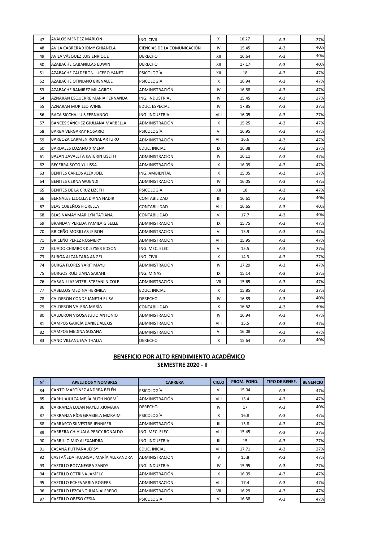| 47 | AVALOS MENDEZ MARLON             | ING. CIVIL                  | x    | 16.27 | $A-3$ | 27% |
|----|----------------------------------|-----------------------------|------|-------|-------|-----|
| 48 | AVILA CABRERA XIOMY GHIANELA     | CIENCIAS DE LA COMUNICACIÓN | IV   | 15.45 | $A-3$ | 40% |
| 49 | AVILA VÁSQUEZ LUIS ENRIQUE       | <b>DERECHO</b>              | XII  | 16.64 | $A-3$ | 40% |
| 50 | AZABACHE CABANILLAS EDWIN        | DERECHO                     | XII  | 17.17 | $A-3$ | 40% |
| 51 | AZABACHE CALDERON LUCERO YANET   | PSICOLOGÍA                  | XII  | 18    | $A-3$ | 47% |
| 52 | AZABACHE OTINIANO BRENALEE       | PSICOLOGÍA                  | Х    | 16.94 | A-3   | 47% |
| 53 | AZABACHE RAMIREZ MILAGROS        | ADMINISTRACIÓN              | IV   | 16.88 | $A-3$ | 47% |
| 54 | AZNARAN ESQUERRE MARÍA FERNANDA  | ING. INDUSTRIAL             | IV   | 15.45 | $A-3$ | 27% |
| 55 | AZNARAN MURILLO WINIE            | EDUC. ESPECIAL              | IV   | 17.85 | $A-3$ | 27% |
| 56 | BACA SICCHA LUIS FERNANDO        | ING. INDUSTRIAL             | VIII | 16.05 | $A-3$ | 27% |
| 57 | BANCES SÁNCHEZ GIULIANA MARBELLA | ADMINISTRACIÓN              | Χ    | 15.25 | $A-3$ | 47% |
| 58 | <b>BARBA VERGARAY ROSARIO</b>    | PSICOLOGÍA                  | VI   | 16.95 | $A-3$ | 47% |
| 59 | BARBOZA CARMEN RONAL ARTURO      | ADMINISTRACIÓN              | VIII | 16.6  | $A-3$ | 47% |
| 60 | BARDALES LOZANO XIMENA           | EDUC. INICIAL               | IX   | 16.38 | $A-3$ | 27% |
| 61 | BAZAN ZAVALETA KATERIN LISETH    | ADMINISTRACIÓN              | IV   | 16.11 | $A-3$ | 47% |
| 62 | BECERRA SOTO YULISSA             | ADMINISTRACIÓN              | X    | 16.09 | $A-3$ | 47% |
| 63 | BENITES CARLOS ALEX JOEL         | ING. AMBIENTAL              | X    | 15.05 | $A-3$ | 27% |
| 64 | BENITES CERNA WUENDI             | ADMINISTRACIÓN              | IV   | 16.05 | $A-3$ | 47% |
| 65 | BENITES DE LA CRUZ LIZETH        | PSICOLOGÍA                  | XII  | 18    | $A-3$ | 47% |
| 66 | BERNALES LLOCLLA DIANA NADIR     | CONTABILIDAD                | Ш    | 16.61 | A-3   | 40% |
| 67 | BLAS CUBEÑOS FIORELLA            | CONTABILIDAD                | VIII | 16.65 | $A-3$ | 40% |
| 68 | BLAS NAMAY MARILYN TATIANA       | CONTABILIDAD                | VI   | 17.7  | $A-3$ | 40% |
| 69 | BRANDAN PEREDA YAMILA GISELLE    | ADMINISTRACIÓN              | IX   | 15.75 | $A-3$ | 47% |
| 70 | BRICEÑO MORILLAS JEISON          | ADMINISTRACIÓN              | VI   | 15.9  | $A-3$ | 47% |
| 71 | BRICEÑO PEREZ ROSMERY            | ADMINISTRACIÓN              | VIII | 15.95 | A-3   | 47% |
| 72 | BUADO CHIMBOR KLEYSER EDSON      | ING. MEC. ELEC.             | VI   | 15.5  | $A-3$ | 27% |
| 73 | BURGA ALCANTARA ANGEL            | ING. CIVIL                  | Х    | 14.3  | $A-3$ | 27% |
| 74 | BURGA FLORES YARIT MAYLI         | ADMINISTRACIÓN              | IV   | 17.29 | $A-3$ | 47% |
| 75 | <b>BURGOS RUÍZ LIANA SARAHI</b>  | ING. MINAS                  | IX   | 15.14 | $A-3$ | 27% |
| 76 | CABANILLAS VITERI STEFANI NICOLE | ADMINISTRACIÓN              | VII  | 15.65 | $A-3$ | 47% |
| 77 | CABELLOS MEDINA HERMILA          | EDUC. INICIAL               | X    | 15.85 | $A-3$ | 27% |
| 78 | CALDERON CONDE JANETH ELISA      | <b>DERECHO</b>              | IV   | 16.89 | $A-3$ | 40% |
| 79 | CALDERON VALERA MARÍA            | CONTABILIDAD                | Х    | 16.52 | A-3   | 40% |
| 80 | CALDERON VISOSA JULIO ANTONIO    | ADMINISTRACIÓN              | IV   | 16.94 | A-3   | 47% |
| 81 | CAMPOS GARCÍA DANIEL ALEXIS      | ADMINISTRACIÓN              | VIII | 15.5  | A-3   | 47% |
| 82 | CAMPOS MEDINA SUSANA             | ADMINISTRACIÓN              | VI   | 16.08 | A-3   | 47% |
| 83 | CANO VILLANUEVA THALIA           | DERECHO                     | X    | 15.64 | A-3   | 40% |

#### **BENEFICIO POR ALTO RENDIMIENTO ACADÉMICO**

#### **SEMESTRE 2020 - II**

| $N^{\circ}$ | <b>APELLIDOS Y NOMBRES</b>         | <b>CARRERA</b>         | <b>CICLO</b> | PROM. POND. | <b>TIPO DE BENEF.</b> | <b>BENEFICIO</b> |
|-------------|------------------------------------|------------------------|--------------|-------------|-----------------------|------------------|
| 84          | CANTO MARTÍNEZ ANDREA BELÉN        | PSICOLOGÍA             | VI           | 15.04       | $A-3$                 | 47%              |
| 85          | CARHUAJULCA MEJÍA RUTH NOEMÍ       | ADMINISTRACIÓN         | <b>VIII</b>  | 15.4        | $A-3$                 | 47%              |
| 86          | CARRANZA LUJAN NAYELI XIOMARA      | <b>DERECHO</b>         | IV           | 17          | $A-3$                 | 40%              |
| 87          | CARRANZA RÍOS GRABIELA MIZRAIM     | PSICOLOGÍA             | x            | 16.8        | $A-3$                 | 47%              |
| 88          | <b>CARRASCO SILVESTRE JENNIFER</b> | ADMINISTRACIÓN         | Ш            | 15.8        | $A-3$                 | 47%              |
| 89          | CARRERA CHIHUALA PERCY RONALDO     | ING. MEC. ELEC.        | VIII         | 15.45       | $A-3$                 | 27%              |
| 90          | CARRILLO MIO ALEXANDRA             | <b>ING. INDUSTRIAL</b> | Ш            | 15          | $A-3$                 | 27%              |
| 91          | CASANA PUTPAÑA JERSY               | EDUC. INICIAL          | VIII         | 17.71       | $A-3$                 | 27%              |
| 92          | CASTAÑEDA HUANGAL MARÍA ALEXANDRA  | ADMINISTRACIÓN         | v            | 15.8        | $A-3$                 | 47%              |
| 93          | CASTILLO BOCANEGRA SANDY           | <b>ING. INDUSTRIAL</b> | IV           | 15.95       | $A-3$                 | 27%              |
| 94          | <b>CASTILLO COTRINA JAMELY</b>     | ADMINISTRACIÓN         | x            | 16.09       | $A-3$                 | 47%              |
| 95          | <b>CASTILLO ECHEVARRIA ROGERS</b>  | ADMINISTRACIÓN         | <b>VIII</b>  | 17.4        | $A-3$                 | 47%              |
| 96          | CASTILLO LEZCANO JUAN ALFREDO      | ADMINISTRACIÓN         | VII          | 16.29       | $A-3$                 | 47%              |
| 97          | <b>CASTILLO OBESO CESIA</b>        | PSICOLOGÍA             | VI           | 16.38       | $A-3$                 | 47%              |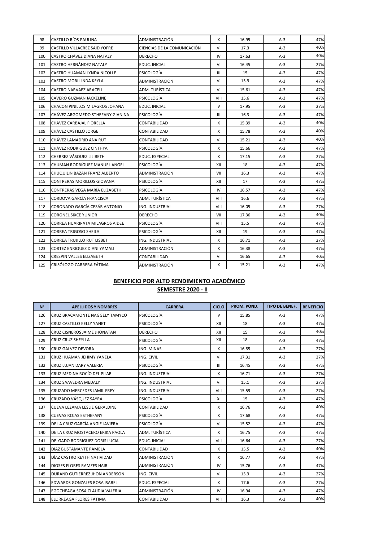| 98  | <b>CASTILLO RÍOS PAULINA</b>     | ADMINISTRACIÓN              | X      | 16.95 | $A-3$ | 47% |
|-----|----------------------------------|-----------------------------|--------|-------|-------|-----|
| 99  | CASTILLO VILLACREZ SAID YOFRE    | CIENCIAS DE LA COMUNICACIÓN | VI     | 17.3  | $A-3$ | 40% |
| 100 | CASTRO CHÁVEZ DIANA NATALY       | DERECHO                     | IV     | 17.63 | $A-3$ | 40% |
| 101 | CASTRO HERNÁNDEZ NATALY          | EDUC. INICIAL               | VI     | 16.45 | $A-3$ | 27% |
| 102 | CASTRO HUAMAN LYNDA NICOLLE      | PSICOLOGÍA                  | Ш      | 15    | $A-3$ | 47% |
| 103 | CASTRO MORI LINDA KEYLA          | ADMINISTRACIÓN              | VI     | 15.9  | $A-3$ | 47% |
| 104 | CASTRO NARVAEZ ARACELI           | ADM. TURÍSTICA              | VI     | 15.61 | $A-3$ | 47% |
| 105 | CAVERO GUZMAN JACKELINE          | PSICOLOGÍA                  | VIII   | 15.6  | $A-3$ | 47% |
| 106 | CHACON PINILLOS MILAGROS JOHANA  | EDUC. INICIAL               | $\vee$ | 17.95 | $A-3$ | 27% |
| 107 | CHÁVEZ ARGOMEDO STHEFANY GIANINA | PSICOLOGÍA                  | Ш      | 16.3  | $A-3$ | 47% |
| 108 | CHAVEZ CARBAJAL FIORELLA         | CONTABILIDAD                | X      | 15.39 | $A-3$ | 40% |
| 109 | CHÁVEZ CASTILLO JORGE            | CONTABILIDAD                | X      | 15.78 | $A-3$ | 40% |
| 110 | CHÁVEZ LAMADRID ANA RUT          | CONTABILIDAD                | VI     | 15.21 | $A-3$ | 40% |
| 111 | CHÁVEZ RODRIGUEZ CINTHYA         | PSICOLOGÍA                  | X      | 15.66 | $A-3$ | 47% |
| 112 | CHERREZ VÁSQUEZ LILIBETH         | EDUC. ESPECIAL              | X      | 17.15 | $A-3$ | 27% |
| 113 | CHUMAN RODRÍGUEZ MANUEL ANGEL    | PSICOLOGÍA                  | XII    | 18    | $A-3$ | 47% |
| 114 | CHUQUILIN BAZAN FRANZ ALBERTO    | ADMINISTRACIÓN              | VII    | 16.3  | $A-3$ | 47% |
| 115 | CONTRERAS MORILLOS GIOVANA       | PSICOLOGÍA                  | XII    | 17    | $A-3$ | 47% |
| 116 | CONTRERAS VEGA MARÍA ELIZABETH   | PSICOLOGÍA                  | IV     | 16.57 | $A-3$ | 47% |
| 117 | CORDOVA GARCÍA FRANCISCA         | ADM. TURÍSTICA              | VIII   | 16.6  | $A-3$ | 47% |
| 118 | CORONADO GARCÍA CESÁR ANTONIO    | ING. INDUSTRIAL             | VIII   | 16.05 | A-3   | 27% |
| 119 | <b>CORONEL SIXCE YUNIOR</b>      | <b>DERECHO</b>              | VII    | 17.36 | $A-3$ | 40% |
| 120 | CORREA HUARIPATA MILAGROS AIDEE  | PSICOLOGÍA                  | VIII   | 15.5  | $A-3$ | 47% |
| 121 | CORREA TRIGOSO SHEILA            | <b>PSICOLOGÍA</b>           | XII    | 19    | $A-3$ | 47% |
| 122 | CORREA TRUJILLO RUT LISBET       | ING. INDUSTRIAL             | x      | 16.71 | $A-3$ | 27% |
| 123 | CORTEZ ENRIQUEZ DIANI YAMALI     | ADMINISTRACIÓN              | X      | 16.38 | $A-3$ | 47% |
| 124 | <b>CRESPIN VALLES ELIZABETH</b>  | CONTABILIDAD                | VI     | 16.65 | $A-3$ | 40% |
| 125 | CRISÓLOGO CARRERA FÁTIMA         | ADMINISTRACIÓN              | X      | 15.21 | $A-3$ | 47% |

| $N^{\circ}$ | <b>APELLIDOS Y NOMBRES</b>          | <b>CARRERA</b>        | <b>CICLO</b>   | PROM. POND. | <b>TIPO DE BENEF.</b> | <b>BENEFICIO</b> |
|-------------|-------------------------------------|-----------------------|----------------|-------------|-----------------------|------------------|
| 126         | CRUZ BRACAMONTE NAGGELY TAMYCO      | PSICOLOGÍA            | V              | 15.85       | $A-3$                 | 47%              |
| 127         | CRUZ CASTILLO KELLY YANET           | PSICOLOGÍA            | XII            | 18          | $A-3$                 | 47%              |
| 128         | CRUZ CISNEROS JAIME JHONATAN        | <b>DERECHO</b>        | XII            | 15          | $A-3$                 | 40%              |
| 129         | <b>CRUZ CRUZ SHEYLLA</b>            | PSICOLOGÍA            | XII            | 18          | $A-3$                 | 47%              |
| 130         | CRUZ GALVEZ DEVORA                  | ING. MINAS            | X              | 16.85       | $A-3$                 | 27%              |
| 131         | CRUZ HUAMAN JEHIMY YANELA           | ING. CIVIL            | VI             | 17.31       | $A-3$                 | 27%              |
| 132         | CRUZ LUJAN DARY VALERIA             | PSICOLOGÍA            | $\mathbf{III}$ | 16.45       | $A-3$                 | 47%              |
| 133         | CRUZ MEDINA ROCÍO DEL PILAR         | ING. INDUSTRIAL       | X              | 16.71       | $A-3$                 | 27%              |
| 134         | <b>CRUZ SAAVEDRA MEDALY</b>         | ING. INDUSTRIAL       | VI             | 15.1        | $A-3$                 | 27%              |
| 135         | <b>CRUZADO MERCEDES JAMIL FREY</b>  | ING. INDUSTRIAL       | VIII           | 15.59       | $A-3$                 | 27%              |
| 136         | CRUZADO VÁSQUEZ SAYRA               | PSICOLOGÍA            | XI             | 15          | $A-3$                 | 47%              |
| 137         | CUEVA LEZAMA LESLIE GERALDINE       | CONTABILIDAD          | X              | 16.76       | $A-3$                 | 40%              |
| 138         | <b>CUEVAS ROJAS ESTHEFANY</b>       | PSICOLOGÍA            | X              | 17.68       | $A-3$                 | 47%              |
| 139         | DE LA CRUZ GARCÍA ANGIE JAVIERA     | PSICOLOGÍA            | VI             | 15.52       | $A-3$                 | 47%              |
| 140         | DE LA CRUZ MOSTACERO ERIKA PAOLA    | ADM. TURÍSTICA        | X              | 16.75       | $A-3$                 | 47%              |
| 141         | DELGADO RODRIGUEZ DORIS LUCIA       | EDUC. INICIAL         | VIII           | 16.64       | $A-3$                 | 27%              |
| 142         | DÍAZ BUSTAMANTE PAMELA              | CONTABILIDAD          | X              | 15.5        | $A-3$                 | 40%              |
| 143         | DÍAZ CASTRO KEYTH NATIVIDAD         | <b>ADMINISTRACIÓN</b> | X              | 16.77       | $A-3$                 | 47%              |
| 144         | DIOSES FLORES RAMZES HAIR           | ADMINISTRACIÓN        | IV             | 15.76       | $A-3$                 | 47%              |
| 145         | DURAND GUTIERREZ JHON ANDERSON      | ING. CIVIL            | VI             | 15.3        | $A-3$                 | 27%              |
| 146         | <b>EDWARDS GONZALES ROSA ISABEL</b> | <b>EDUC. ESPECIAL</b> | X              | 17.6        | $A-3$                 | 27%              |
| 147         | EGOCHEAGA SOSA CLAUDIA VALERIA      | <b>ADMINISTRACIÓN</b> | IV             | 16.94       | $A-3$                 | 47%              |
| 148         | ELORREAGA FLORES FÁTIMA             | CONTABILIDAD          | VIII           | 16.3        | $A-3$                 | 40%              |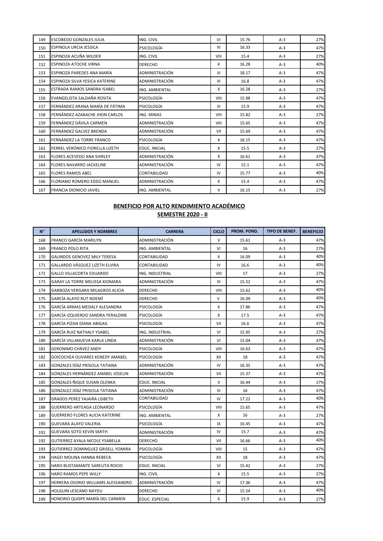| 149 | ESCOBEDO GONZALES JULIA            | ING. CIVIL     | VI             | 15.76 | $A-3$ | 27% |
|-----|------------------------------------|----------------|----------------|-------|-------|-----|
| 150 | ESPINOLA URCIA JESSICA             | PSICOLOGÍA     | $\mathbf{III}$ | 16.33 | $A-3$ | 47% |
| 151 | ESPINOZA ACUÑA WILDER              | ING. CIVIL     | VIII           | 15.4  | $A-3$ | 27% |
| 152 | <b>ESPINOZA ATOCHE VIRNA</b>       | <b>DERECHO</b> | X              | 16.28 | $A-3$ | 40% |
| 153 | ESPINOZA PAREDES ANA MARÍA         | ADMINISTRACIÓN | $\mathbf{III}$ | 18.17 | $A-3$ | 47% |
| 154 | ESPINOZA SILVA YESICA KATERINE     | ADMINISTRACIÓN | $\mathbf{III}$ | 16.8  | $A-3$ | 47% |
| 155 | <b>ESTRADA RAMOS SANDRA ISABEL</b> | ING. AMBIENTAL | X              | 16.28 | $A-3$ | 27% |
| 156 | EVANGELISTA SALDAÑA ROSITA         | PSICOLOGÍA     | VIII           | 15.98 | $A-3$ | 47% |
| 157 | FERNÁNDEZ ARANA MARÍA DE FÁTIMA    | PSICOLOGÍA     | $\mathbf{III}$ | 15.9  | $A-3$ | 47% |
| 158 | FERNÁNDEZ AZABACHE JHON CARLOS     | ING. MINAS     | <b>VIII</b>    | 15.82 | $A-3$ | 27% |
| 159 | FERNÁNDEZ DÁVILA CARMEN            | ADMINISTRACIÓN | VIII           | 15.65 | $A-3$ | 47% |
| 160 | FERNÁNDEZ GALVEZ BRENDA            | ADMINISTRACIÓN | VII            | 15.69 | $A-3$ | 47% |
| 161 | FERNÁNDEZ LA TORRE FRANCO          | PSICOLOGÍA     | X              | 18.15 | $A-3$ | 47% |
| 162 | FERREL VERÓNICO FIORELLA LIZETH    | EDUC. INICIAL  | X              | 15.5  | $A-3$ | 27% |
| 163 | <b>FLORES ACEVEDO ANA SHIRLEY</b>  | ADMINISTRACIÓN | X              | 16.61 | $A-3$ | 47% |
| 164 | <b>FLORES NAVARRO JACKELINE</b>    | ADMINISTRACIÓN | IV             | 15.1  | $A-3$ | 47% |
| 165 | <b>FLORES RAMOS ABEL</b>           | CONTABILIDAD   | IV             | 15.77 | $A-3$ | 40% |
| 166 | FLORIANO ROMERO EDDÚ MANUEL        | ADMINISTRACIÓN | X              | 15.4  | $A-3$ | 47% |
| 167 | <b>FRANCIA DIONICIO JAVIEL</b>     | ING. AMBIENTAL | V              | 16.15 | $A-3$ | 27% |

| N°  | <b>APELLIDOS Y NOMBRES</b>         | <b>CARRERA</b>    | <b>CICLO</b> | PROM. POND. | <b>TIPO DE BENEF.</b> | <b>BENEFICIO</b> |
|-----|------------------------------------|-------------------|--------------|-------------|-----------------------|------------------|
| 168 | FRANCO GARCÍA MARILYN              | ADMINISTRACIÓN    | $\vee$       | 15.61       | $A-3$                 | 47%              |
| 169 | <b>FRANCO POLO RITA</b>            | ING. AMBIENTAL    | VI           | 16          | $A-3$                 | 27%              |
| 170 | GALINDOS GENOVEZ MILY TERESA       | CONTABILIDAD      | X            | 16.09       | A-3                   | 40%              |
| 171 | GALLARDO VÁSQUEZ LIZETH ELVIRA     | CONTABILIDAD      | IV           | 16.6        | $A-3$                 | 40%              |
| 172 | <b>GALLO VILLACORTA EDUARDO</b>    | ING. INDUSTRIAL   | VIII         | 17          | $A-3$                 | 27%              |
| 173 | GARAY LA TORRE MELISSA XIOMARA     | ADMINISTRACIÓN    | III          | 15.52       | $A-3$                 | 47%              |
| 174 | GARBOZA VERGARA MILAGROS ALICIA    | <b>DERECHO</b>    | VIII         | 15.62       | $A-3$                 | 40%              |
| 175 | GARCÍA ALAYO RUT NOEMÍ             | <b>DERECHO</b>    | V            | 16.09       | $A-3$                 | 40%              |
| 176 | GARCÍA ARMAS MEDALY ALESANDRA      | <b>PSICOLOGÍA</b> | X            | 17.86       | $A-3$                 | 47%              |
| 177 | GARCÍA IZQUIERDO SANDRA YERALDINE  | PSICOLOGÍA        | X            | 17.5        | $A-3$                 | 47%              |
| 178 | GARCÍA PIZAN DIANA ABIGAIL         | PSICOLOGÍA        | VII          | 16.6        | $A-3$                 | 47%              |
| 179 | GARCÍA RUIZ NATHALY YSABEL         | ING. INDUSTRIAL   | VI           | 15.95       | $A-3$                 | 27%              |
| 180 | GARCÍA VILLANUEVA KARLA LINDA      | ADMINISTRACIÓN    | VI           | 15.04       | $A-3$                 | 47%              |
| 181 | GERONIMO CHÁVEZ ANDY               | PSICOLOGIA        | VIII         | 16.63       | $A-3$                 | 47%              |
| 182 | GOICOCHEA OLIVARES KENEDY AMABEL   | PSICOLOGIA        | XII          | 18          | $A-3$                 | 47%              |
| 183 | GONZALES DÍAZ PRISCILA TATIANA     | ADMINISTRACIÓN    | IV           | 16.35       | $A-3$                 | 47%              |
| 184 | GONZALES HERNÁNDEZ ANABEL JOSELIN  | ADMINISTRACIÓN    | VII          | 15.37       | $A-3$                 | 47%              |
| 185 | GONZALES ÑIQUE SUSAN OLENKA        | EDUC. INICIAL     | $\vee$       | 16.44       | $A-3$                 | 27%              |
| 186 | GONZALEZ DÍAZ PRISCILA TATIANA     | ADMINISTRACIÓN    | Ш            | 16          | $A-3$                 | 47%              |
| 187 | GRADOS PEREZ YAJAIRA LISBETH       | CONTABILIDAD      | IV           | 17.22       | $A-3$                 | 40%              |
| 188 | GUERRERO ARTEAGA LEONARDO          | PSICOLOGIA        | VIII         | 15.65       | $A-3$                 | 47%              |
| 189 | GUERRERO FLORES ALICIA KATERINE    | ING. AMBIENTAL    | x            | 16          | $A-3$                 | 27%              |
| 190 | GUEVARA ALAYO VALERIA              | PSICOLOGIA        | IX           | 16.45       | $A-3$                 | 47%              |
| 191 | <b>GUEVARA SOTO KEVIN SMITH</b>    | ADMINISTRACIÓN    | IV           | 15.7        | $A-3$                 | 47%              |
| 192 | GUTIERREZ AYALA NICOLE YSABELLA    | <b>DERECHO</b>    | VII          | 16.66       | $A-3$                 | 40%              |
| 193 | GUTIERREZ DOMINGUEZ GRISELL YOMIRA | PSICOLOGÍA        | VIII         | 15          | $A-3$                 | 47%              |
| 194 | HAGEI MOLINA HANNA REBECA          | PSICOLOGIA        | XII          | 18          | $A-3$                 | 47%              |
| 195 | HARO BUSTAMANTE SARELITA ROCIO     | EDUC. INICIAL     | VI           | 15.42       | $A-3$                 | 27%              |
| 196 | <b>HARO RAMOS PEPE WILLY</b>       | ING. CIVIL        | X            | 15.5        | $A-3$                 | 27%              |
| 197 | HERRERA OSORIO WILLIAMS ALESSANDRO | ADMINISTRACIÓN    | IV           | 17.36       | $A-3$                 | 47%              |
| 198 | HOLGUIN LESCANO NAYDU              | <b>DERECHO</b>    | VI           | 15.54       | $A-3$                 | 40%              |
| 199 | HONORIO QUISPE MARÍA DEL CARMEN    | EDUC. ESPECIAL    | x            | 15.9        | $A-3$                 | 27%              |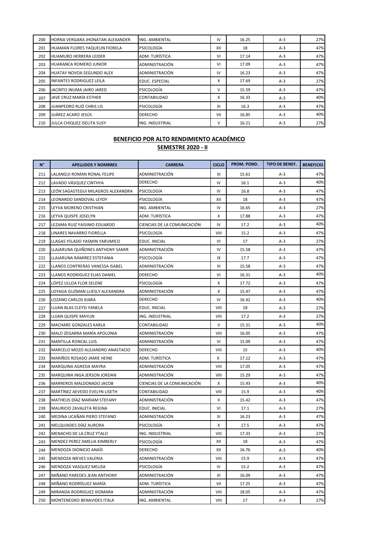| 200 | HORNA VERGARA JHONATAN ALEXANDER  | ING. AMBIENTAL        | IV  | 16.25 | $A-3$ | 27% |
|-----|-----------------------------------|-----------------------|-----|-------|-------|-----|
| 201 | HUAMAN FLORES YAQUELIN FIORELA    | <b>PSICOLOGÍA</b>     | XII | 18    | $A-3$ | 47% |
| 202 | <b>HUAMURO HERRERA LEIDER</b>     | ADM. TURÍSTICA        | VI  | 17.14 | $A-3$ | 47% |
| 203 | <b>HUARANCA ROMERO JUNIOR</b>     | <b>ADMINISTRACIÓN</b> | VI  | 17.09 | $A-3$ | 47% |
| 204 | <b>HUATAY NOVOA SEGUNDO ALEX</b>  | <b>ADMINISTRACIÓN</b> | IV  | 16.23 | $A-3$ | 47% |
| 205 | <b>INFANTES RODRIGUEZ LEILA</b>   | <b>EDUC. ESPECIAL</b> | X   | 17.69 | $A-3$ | 27% |
| 206 | JACINTO INUMA JAIRO JARED         | <b>PSICOLOGÍA</b>     | v   | 15.59 | $A-3$ | 47% |
| 207 | JAVE CRUZ MARÍA ESTHER            | CONTABILIDAD          | X   | 16.33 | $A-3$ | 40% |
| 208 | JUANPEDRO RUÍZ CHRIS LIS          | <b>PSICOLOGÍA</b>     | Ш   | 16.3  | $A-3$ | 47% |
| 209 | JUÁREZ ACARO JESÚS                | <b>DERECHO</b>        | VII | 16.85 | $A-3$ | 40% |
| 210 | <b>JULCA CHIQUEZ ISELITA SUSY</b> | ING. INDUSTRIAL       | v   | 16.21 | $A-3$ | 27% |

| $N^{\circ}$ | <b>APELLIDOS Y NOMBRES</b>         | <b>CARRERA</b>              | <b>CICLO</b> | PROM. POND. | <b>TIPO DE BENEF.</b> | <b>BENEFICIO</b> |
|-------------|------------------------------------|-----------------------------|--------------|-------------|-----------------------|------------------|
| 211         | LALANGUI ROMAN RONAL FELIPE        | ADMINISTRACIÓN              | Ш            | 15.61       | A-3                   | 47%              |
| 212         | LAVADO VÁSQUEZ CINTHYA             | <b>DERECHO</b>              | IV           | 16.1        | $A-3$                 | 40%              |
| 213         | LEÓN SAGASTEGUI MILAGROS ALEXANDRA | PSICOLOGIA                  | IV           | 16.8        | $A-3$                 | 47%              |
| 214         | LEONARDO SANDOVAL LEYDY            | PSICOLOGIA                  | XII          | 18          | $A-3$                 | 47%              |
| 215         | LEYVA MORENO CRISTHIAN             | ING. AMBIENTAL              | IV           | 16.65       | $A-3$                 | 27%              |
| 216         | LEYVA QUISPE JOSELYN               | ADM. TURÍSTICA              | Χ            | 17.88       | $A-3$                 | 47%              |
| 217         | LEZAMA RUIZ YAISINIO EDUARDO       | CIENCIAS DE LA COMUNICACIÓN | IV           | 17.2        | $A-3$                 | 40%              |
| 218         | LINARES NAVARRO FIORELLA           | PSICOLOGIA                  | VIII         | 15.2        | $A-3$                 | 47%              |
| 219         | LLAGAS YSLADO YASMIN YARUMICO      | EDUC. INICIAL               | VI           | 17          | $A-3$                 | 27%              |
| 220         | LLAJARUNA QUIÑONES ANTHONY SAMIR   | ADMINISTRACIÓN              | IV           | 15.58       | A-3                   | 47%              |
| 221         | LLAJARUNA RÁMIREZ ESTEFANIA        | PSICOLOGÍA                  | IX           | 17.7        | $A-3$                 | 47%              |
| 222         | LLANOS CONTRERAS VANESSA ISABEL    | ADMINISTRACIÓN              | Ш            | 15.58       | $A-3$                 | 47%              |
| 223         | LLANOS RODRIGUEZ ELIAS DANIEL      | <b>DERECHO</b>              | VI           | 16.31       | $A-3$                 | 40%              |
| 224         | LÓPEZ ULLOA FLOR SELENE            | PSICOLOGIA                  | x            | 17.72       | $A-3$                 | 47%              |
| 225         | LOYAGA GUZMAN LLIESLY ALEXANDRA    | ADMINISTRACIÓN              | Χ            | 15.47       | $A-3$                 | 47%              |
| 226         | LOZANO CARLOS KIARA                | <b>DERECHO</b>              | IV           | 16.42       | $A-3$                 | 40%              |
| 227         | LUJAN BLAS CLEYSI YANELA           | EDUC. INICIAL               | VIII         | 18          | $A-3$                 | 27%              |
| 228         | <b>LUJAN QUISPE MAYLIN</b>         | ING. INDUSTRIAL             | VIII         | 17.2        | $A-3$                 | 27%              |
| 229         | MACHARE GONZALES KARLA             | CONTABILIDAD                | V            | 15.31       | $A-3$                 | 40%              |
| 230         | MALO ZEGARRA MARÍA APOLONIA        | ADMINISTRACIÓN              | VIII         | 16.05       | $A-3$                 | 47%              |
| 231         | MANTILLA RONCAL LUIS               | ADMINISTRACIÓN              | VI           | 15.09       | $A-3$                 | 47%              |
| 232         | MARCELO MOZO ALEJANDRO ANASTACIO   | DERECHO                     | VIII         | 15          | A-3                   | 40%              |
| 233         | MARIÑOS ROSADO JAMIE HEINE         | ADM. TURÍSTICA              | Χ            | 17.12       | $A-3$                 | 47%              |
| 234         | MARQUINA AGREDA MAYRA              | ADMINISTRACIÓN              | VIII         | 17.05       | $A-3$                 | 47%              |
| 235         | MARQUINA INGA JERSON JORDAN        | ADMINISTRACIÓN              | VIII         | 15.29       | $A-3$                 | 47%              |
| 236         | MARREROS MALDONADO JACOB           | CIENCIAS DE LA COMUNICACIÓN | Х            | 15.93       | $A-3$                 | 40%              |
| 237         | MARTINEZ AEVEDO EVELYN LISETH      | CONTABILIDAD                | VIII         | 15.9        | $A-3$                 | 40%              |
| 238         | MATHEUS DIAZ MARIAM STEFANY        | ADMINISTRACIÓN              | Χ            | 15.42       | $A-3$                 | 47%              |
| 239         | MAURICIO ZAVALETA REGINA           | EDUC. INICIAL               | VI           | 17.1        | $A-3$                 | 27%              |
| 240         | MEDINA UCAÑAN PIERO STEFANO        | ADMINISTRACIÓN              | Ш            | 16.23       | $A-3$                 | 47%              |
| 241         | MELQUIADES DÍAZ AURORA             | PSICOLOGIA                  | Χ            | 17.5        | $A-3$                 | 47%              |
| 242         | MENACHO DE LA CRUZ YTALO           | ING. INDUSTRIAL             | VIII         | 17.33       | $A-3$                 | 27%              |
| 243         | MENDEZ PEREZ AMELIA KIMBERLY       | PSICOLOGÍA                  | XII          | 18          | $A-3$                 | 47%              |
| 244         | MENDOZA DIONICIO ANAÍS             | DERECHO                     | XII          | 16.76       | $A-3$                 | 40%              |
| 245         | MENDOZA NIEVES VALERIA             | ADMINISTRACIÓN              | VIII         | 15.9        | $A-3$                 | 47%              |
| 246         | MENDOZA VASQUEZ MELISA             | PSICOLOGÍA                  | IV           | 15.2        | $A-3$                 | 47%              |
| 247         | MIÑANO PAREDES JEAN ANTHONY        | ADMINISTRACIÓN              | Ш            | 16.09       | A-3                   | 47%              |
| 248         | MIÑANO RODRÍGUEZ MARÍA             | ADM. TURÍSTICA              | VII          | 17.25       | $A-3$                 | 47%              |
| 249         | MIRANDA RODRIGUEZ XIOMARA          | ADMINISTRACIÓN              | VIII         | 18.05       | $A-3$                 | 47%              |
| 250         | MONTENEGRO BENAVIDES ITALA         | ING. AMBIENTAL              | VIII         | 17          | $A-3$                 | 27%              |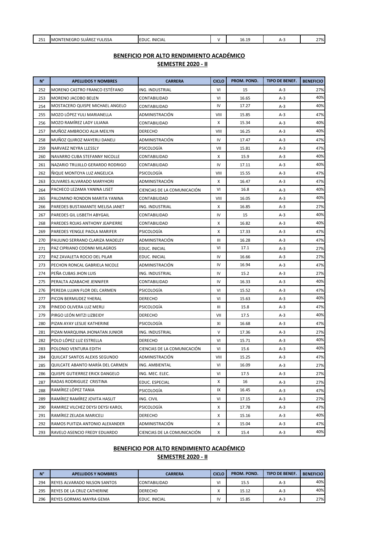| ົາ⊏<br><u>___</u> | ' YULISSA<br>ENEGRO<br>$\overline{\phantom{a}}$<br><b>SUARE</b><br>'N<br>IMC. | <b>INICIAL</b><br>EDUC. | <br>∽<br>-0.17 | 770/<br>- - |
|-------------------|-------------------------------------------------------------------------------|-------------------------|----------------|-------------|
|                   |                                                                               |                         |                |             |

| $N^{\circ}$ | <b>APELLIDOS Y NOMBRES</b>        | <b>CARRERA</b>              | <b>CICLO</b> | PROM. POND. | TIPO DE BENEF. | <b>BENEFICIO</b> |
|-------------|-----------------------------------|-----------------------------|--------------|-------------|----------------|------------------|
| 252         | MORENO CASTRO FRANCO ESTÉFANO     | ING. INDUSTRIAL             | VI           | 15          | $A-3$          | 27%              |
| 253         | MORENO JACOBO BELEN               | CONTABILIDAD                | VI           | 16.65       | $A-3$          | 40%              |
| 254         | MOSTACERO QUISPE MICHAEL ANGELO   | CONTABILIDAD                | IV           | 17.27       | $A-3$          | 40%              |
| 255         | MOZO LÓPEZ YULI MARIANELLA        | ADMINISTRACIÓN              | VIII         | 15.85       | $A-3$          | 47%              |
| 256         | MOZO RAMÍREZ LADY LILIANA         | CONTABILIDAD                | X            | 15.34       | $A-3$          | 40%              |
| 257         | MUÑOZ AMBROCIO ALIA MEILYN        | DERECHO                     | VIII         | 16.25       | $A-3$          | 40%              |
| 258         | MUÑOZ QUIROZ MAYERLI DANELI       | ADMINISTRACIÓN              | IV           | 17.47       | $A-3$          | 47%              |
| 259         | NARVAEZ NEYRA LLESSLY             | PSICOLOGÍA                  | VII          | 15.81       | $A-3$          | 47%              |
| 260         | NAVARRO CUBA STEFANNY NICOLLE     | CONTABILIDAD                | X            | 15.9        | $A-3$          | 40%              |
| 261         | NAZARIO TRUJILLO GERARDO RODRIGO  | CONTABILIDAD                | IV           | 17.11       | $A-3$          | 40%              |
| 262         | ÑIQUE MONTOYA LUZ ANGELICA        | PSICOLOGIA                  | VIII         | 15.55       | $A-3$          | 47%              |
| 263         | OLIVARES ALVARADO MARYHORI        | ADMINISTRACIÓN              | X            | 16.47       | $A-3$          | 47%              |
| 264         | PACHECO LEZAMA YANINA LISET       | CIENCIAS DE LA COMUNICACIÓN | VI           | 16.8        | $A-3$          | 40%              |
| 265         | PALOMINO RONDON MARITA YANINA     | CONTABILIDAD                | VIII         | 16.05       | $A-3$          | 40%              |
| 266         | PAREDES BUSTAMANTE MELISA JANET   | ING. INDUSTRIAL             | X            | 16.85       | $A-3$          | 27%              |
| 267         | PAREDES GIL LISBETH ABYGAIL       | CONTABILIDAD                | IV           | 15          | $A-3$          | 40%              |
| 268         | PAREDES ROJAS ANTHONY JEAPIERRE   | CONTABILIDAD                | Χ            | 16.82       | $A-3$          | 40%              |
| 269         | PAREDES YENGLE PAOLA MARIFER      | PSICOLOGÍA                  | X            | 17.33       | $A-3$          | 47%              |
| 270         | PAULINO SERRANO CLARIZA MADELEY   | ADMINISTRACIÓN              | Ш            | 16.28       | $A-3$          | 47%              |
| 271         | PAZ CIPRIANO COONNI MILAGROS      | EDUC. INICIAL               | VI           | 17.1        | $A-3$          | 27%              |
| 272         | PAZ ZAVALETA ROCIO DEL PILAR      | EDUC. INICIAL               | IV           | 16.66       | $A-3$          | 27%              |
| 273         | PECHON RONCAL GABRIELA NICOLE     | ADMINISTRACIÓN              | IV           | 16.94       | $A-3$          | 47%              |
| 274         | PEÑA CUBAS JHON LUIS              | ING. INDUSTRIAL             | IV           | 15.2        | $A-3$          | 27%              |
| 275         | PERALTA AZABACHE JENNIFER         | CONTABILIDAD                | IV           | 16.33       | $A-3$          | 40%              |
| 276         | PEREDA LUJAN FLOR DEL CARMEN      | PSICOLOGÍA                  | VI           | 15.52       | $A-3$          | 47%              |
| 277         | PICON BERMUDEZ YHERAL             | <b>DERECHO</b>              | VI           | 15.63       | $A-3$          | 40%              |
| 278         | PINEDO OLIVERA LUZ MERLI          | PSICOLOGÍA                  | Ш            | 15.8        | $A-3$          | 47%              |
| 279         | PIRGO LEÓN MITZI LIZBEIDY         | <b>DERECHO</b>              | VII          | 17.5        | $A-3$          | 40%              |
| 280         | PIZAN AYAY LESLIE KATHERINE       | PSICOLOGIA                  | XI           | 16.68       | $A-3$          | 47%              |
| 281         | PIZAN MARQUINA JHONATAN JUNIOR    | ING. INDUSTRIAL             | V            | 17.36       | $A-3$          | 27%              |
| 282         | POLO LÓPEZ LUZ ESTRELLA           | <b>DERECHO</b>              | VI           | 15.71       | $A-3$          | 40%              |
| 283         | POLONIO VENTURA EDITH             | CIENCIAS DE LA COMUNICACIÓN | VI           | 15.6        | $A-3$          | 40%              |
| 284         | QUILCAT SANTOS ALEXIS SEGUNDO     | ADMINISTRACIÓN              | VIII         | 15.25       | $A-3$          | 47%              |
| 285         | QUILCATE ABANTO MARÍA DEL CARMEN  | ING. AMBIENTAL              | VI           | 16.09       | $A-3$          | 27%              |
| 286         | QUISPE GUTIERREZ ERICK DANGELO    | ING. MEC. ELEC.             | VI           | 17.5        | $A-3$          | 27%              |
| 287         | RADAS RODRIGUEZ CRISTINA          | EDUC. ESPECIAL              | Х            | 16          | $A-3$          | 27%              |
| 288         | RAMÍREZ LÓPEZ TANIA               | <b>PSICOLOGÍA</b>           | IX           | 16.45       | $A-3$          | 47%              |
| 289         | RAMÍREZ RAMÍREZ JOVITA HASLIT     | ING. CIVIL                  | VI           | 17.15       | $A-3$          | 27%              |
| 290         | RAMIREZ VILCHEZ DEYSI DEYSI KAROL | <b>PSICOLOGÍA</b>           | Х            | 17.78       | $A-3$          | 47%              |
| 291         | RAMÍREZ ZELADA MARICELI           | <b>DERECHO</b>              | Χ            | 15.16       | $A-3$          | 40%              |
| 292         | RAMOS PUITIZA ANTONIO ALEXANDER   | ADMINISTRACIÓN              | х            | 15.04       | $A-3$          | 47%              |
| 293         | RAVELO ASENCIO FREDY EDUARDO      | CIENCIAS DE LA COMUNICACIÓN | Х            | 15.4        | $A-3$          | 40%              |

#### **BENEFICIO POR ALTO RENDIMIENTO ACADÉMICO**

#### **SEMESTRE 2020 - II**

| $N^{\circ}$ | <b>APELLIDOS Y NOMBRES</b>          | <b>CARRERA</b>       | <b>CICLO</b>           | <b>PROM. POND.</b> | <b>TIPO DE BENEF.</b> | <b>BENEFICIO</b> |
|-------------|-------------------------------------|----------------------|------------------------|--------------------|-----------------------|------------------|
| 294         | <b>REYES ALVARADO NILSON SANTOS</b> | <b>CONTABILIDAD</b>  | ٧I                     | 15.5               | $A-3$                 | 40%              |
| 295         | REYES DE LA CRUZ CATHERINE          | <b>DERECHO</b>       |                        | 15.12              | A-3                   | 40%              |
| 296         | <b>REYES GORMAS MAYRA GEMA</b>      | <b>EDUC. INICIAL</b> | $\mathsf{I}\mathsf{V}$ | 15.85              | $A-3$                 | 27%              |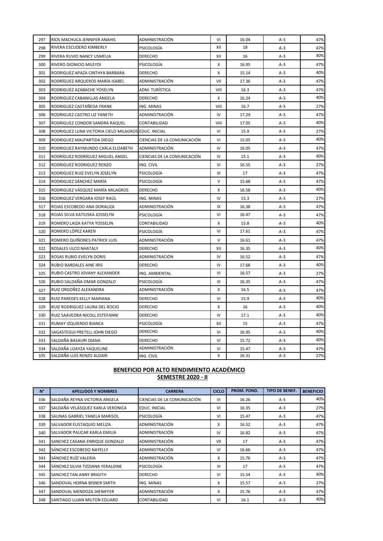| 297 | RIOS MACHUCA JENNIFER ANAHIS                         | ADMINISTRACIÓN              | VI                                 | 16.04 | $A-3$ | 47% |
|-----|------------------------------------------------------|-----------------------------|------------------------------------|-------|-------|-----|
| 298 | RIVERA ESCUDERO KIMBERLY                             | PSICOLOGÍA                  | XII                                | 18    | $A-3$ | 47% |
| 299 | RIVERA RUVIO NANCY USMELIA                           | <b>DERECHO</b>              | XII                                | 16    | $A-3$ | 40% |
| 300 | RIVERO DIONICIO MILEYDI                              | PSICOLOGÍA                  | X                                  | 16.95 | $A-3$ | 47% |
| 301 | RODRIGUEZ APAZA CINTHYA BARBARA                      | <b>DERECHO</b>              | X                                  | 15.14 | $A-3$ | 40% |
| 302 | RODRÍGUEZ ARQUEROS MARÍA ISABEL                      | ADMINISTRACIÓN              | VII                                | 17.36 | $A-3$ | 47% |
| 303 | RODRIGUEZ AZABACHE YOSELYN                           | ADM. TURÍSTICA              | VIII                               | 16.3  | $A-3$ | 47% |
| 304 | RODRIGUEZ CABANILLAS ANGELA                          | <b>DERECHO</b>              | X                                  | 16.24 | $A-3$ | 40% |
| 305 | RODRIGUEZ CASTAÑEDA FRANK                            | ING. MINAS                  | VIII                               | 16.7  | $A-3$ | 27% |
| 306 | RODRIGUEZ CASTRO LIZ YANETH                          | ADMINISTRACIÓN              | IV                                 | 17.29 | $A-3$ | 47% |
| 307 | RODRIGUEZ CONDOR SANDRA RAQUEL                       | CONTABILIDAD                | VIII                               | 17.05 | $A-3$ | 40% |
| 308 | RODRIGUEZ LUNA VICTORIA CIELO MILAGROS EDUC. INICIAL |                             | VI                                 | 15.9  | $A-3$ | 27% |
| 309 | RODRIGUEZ MALPARTIDA DIEGO                           | CIENCIAS DE LA COMUNICACIÓN | VI                                 | 15.05 | $A-3$ | 40% |
| 310 | RODRIGUEZ RAYMUNDO CARLA ELIZABETH                   | ADMINISTRACIÓN              | IV                                 | 16.05 | $A-3$ | 47% |
| 311 | RODRÍGUEZ RODRÍGUEZ MIGUEL ANGEL                     | CIENCIAS DE LA COMUNICACIÓN | IV                                 | 15.1  | $A-3$ | 40% |
| 312 | RODRIGUEZ RODRIGUEZ RENZO                            | ING. CIVIL                  | VI                                 | 16.55 | $A-3$ | 27% |
| 313 | RODRIGUEZ RUIZ EVELYN JOSELYN                        | PSICOLOGÍA                  | $\ensuremath{\mathsf{III}}\xspace$ | 17    | $A-3$ | 47% |
| 314 | RODRIGUEZ SÁNCHEZ MARÍA                              | PSICOLOGÍA                  | V                                  | 15.68 | $A-3$ | 47% |
| 315 | RODRIGUEZ VÁSQUEZ MARÍA MILAGROS                     | <b>DERECHO</b>              | X                                  | 16.58 | $A-3$ | 40% |
| 316 | RODRIGUEZ VERGARA IOSEF RAÚL                         | ING. MINAS                  | IV                                 | 15.3  | $A-3$ | 27% |
| 317 | ROJAS ESCOBEDO ANA DORALIZA                          | ADMINISTRACIÓN              | IX<br>16.38<br>$A-3$               |       |       | 47% |
| 318 | ROJAS SILVA KATIUSKA JOSSELYN                        | PSICOLOGÍA                  | VI                                 | 16.47 | $A-3$ | 47% |
| 319 | ROMERO LAIZA KATYA YOSSELIN                          | CONTABILIDAD                | х                                  | 15.8  | $A-3$ | 40% |
| 320 | ROMERO LÓPEZ KAREN                                   | PSICOLOGÍA                  | VI                                 | 17.61 | $A-3$ | 47% |
| 321 | ROMERO QUIÑONES PATRICK LUIS                         | ADMINISTRACIÓN              | V                                  | 16.61 | $A-3$ | 47% |
| 322 | ROSALES ULCO NHATALY                                 | DERECHO                     | XII                                | 16.35 | $A-3$ | 40% |
| 323 | ROSAS RUBIO EVELYN DORIS                             | ADMINISTRACIÓN              | IV                                 | 16.52 | $A-3$ | 47% |
| 324 | RUBIO BARDALES AINE IRIS                             | DERECHO                     | IV                                 | 17.68 | $A-3$ | 40% |
| 325 | RUBIO CASTRO JOVANY ALEXANDER                        | ING. AMBIENTAL              | VI                                 | 16.57 | $A-3$ | 27% |
| 326 | RUBIO SALDAÑA OMAR GONZALO                           | PSICOLOGÍA                  | $\mathbf{III}$                     | 16.35 | $A-3$ | 47% |
| 327 | RUIZ ORDOÑEZ ALEXANDRA                               | ADMINISTRACIÓN              | X                                  | 16.5  | $A-3$ | 47% |
| 328 | RUIZ PAREDES KELLY MARIANA                           | DERECHO                     | VI                                 | 15.9  | $A-3$ | 40% |
| 329 | RUIZ RODRIGUEZ LAURA DEL ROCIO                       | DERECHO                     | x                                  | 16    | $A-3$ | 40% |
| 330 | RUIZ SAAVEDRA NICOLL ESTEFANNI                       | DERECHO                     | IV                                 | 17.1  | $A-3$ | 40% |
| 331 | RUMAY IZQUIERDO BIANCA                               | PSICOLOGÍA                  | XII                                | 15    | $A-3$ | 47% |
| 332 | SAGASTEGUI PRETELL JOHN DIEGO                        | <b>DERECHO</b>              | VI                                 | 16.95 | $A-3$ | 40% |
| 333 | SALDAÑA BASAURI DIANA                                | DERECHO                     | VI                                 | 15.72 | $A-3$ | 40% |
| 334 | SALDAÑA LOAYZA YAQUELINE                             | ADMINISTRACIÓN              | VI                                 | 15.47 | A-3   | 47% |
| 335 | SALDAÑA LUIS RENZO ALDAIR                            | ING. CIVIL                  | X                                  | 16.31 | $A-3$ | 27% |

| $N^{\circ}$ | <b>APELLIDOS Y NOMBRES</b>        | <b>CARRERA</b>              | <b>CICLO</b> | PROM. POND. | <b>TIPO DE BENEF.</b> | <b>BENEFICIO</b> |
|-------------|-----------------------------------|-----------------------------|--------------|-------------|-----------------------|------------------|
| 336         | SALDAÑA REYNA VICTORIA ANGELA     | CIENCIAS DE LA COMUNICACIÓN | VI           | 16.26       | $A-3$                 | 40%              |
| 337         | SALDAÑA VELÁSQUEZ KARLA VERONICA  | EDUC. INICIAL               | VI           | 16.35       | $A-3$                 | 27%              |
| 338         | SALINAS GABRIEL YANELA MARISOL    | PSICOLOGÍA                  | VI           | 15.47       | $A-3$                 | 47%              |
| 339         | SALVADOR EUSTAQUIO MELIZA         | ADMINISTRACIÓN              | X            | 16.52       | $A-3$                 | 47%              |
| 340         | SALVADOR PAUCAR KARLA EMILIA      | ADMINISTRACIÓN              | IV           | 16.82       | $A-3$                 | 47%              |
| 341         | SANCHEZ CASANA ENRIQUE GONZALO    | ADMINISTRACIÓN              | VII          | 17          | $A-3$                 | 47%              |
| 342         | SÁNCHEZ ESCOBEDO NAYELLY          | ADMINISTRACIÓN              | VI           | 16.66       | $A-3$                 | 47%              |
| 343         | SÁNCHEZ RUÍZ VALERIA              | ADMINISTRACIÓN              | x            | 15.76       | $A-3$                 | 47%              |
| 344         | SÁNCHEZ SILVIA TIZZIANA YERALDINE | PSICOLOGÍA                  | Ш            | 17          | $A-3$                 | 47%              |
| 345         | SANCHEZ TAN ANNY BRIGITH          | <b>DERECHO</b>              | VI           | 15.54       | $A-3$                 | 40%              |
| 346         | SANDOVAL HORNA BISNER SMITH       | ING. MINAS                  | X            | 15.57       | $A-3$                 | 27%              |
| 347         | SANDOVAL MENDOZA JHENIFFER        | ADMINISTRACIÓN              | x            | 15.76       | $A-3$                 | 47%              |
| 348         | SANTIAGO LUJAN MILTON EDUARD      | <b>CONTABILIDAD</b>         | VI           | 16.1        | $A-3$                 | 40%              |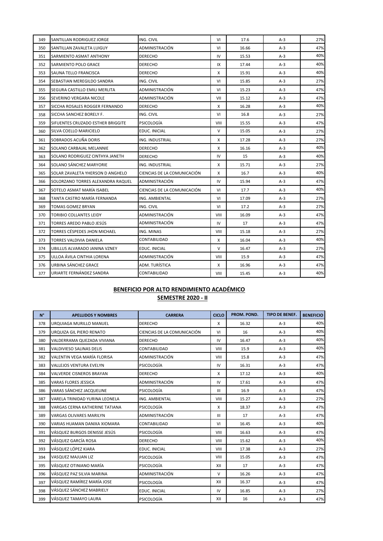| 349 | SANTILLAN RODRIGUEZ JORGE         | ING. CIVIL                  | VI                 | 17.6  | $A-3$ | 27% |
|-----|-----------------------------------|-----------------------------|--------------------|-------|-------|-----|
| 350 | SANTILLAN ZAVALETA LUIGUY         | ADMINISTRACIÓN              | VI<br>16.66<br>A-3 |       | 47%   |     |
| 351 | SARMIENTO ASMAT ANTHONY           | <b>DERECHO</b>              | IV                 | 15.53 | $A-3$ | 40% |
| 352 | SARMIENTO POLO GRACE              | <b>DERECHO</b>              | IX                 | 17.44 | $A-3$ | 40% |
| 353 | SAUNA TELLO FRANCISCA             | <b>DERECHO</b>              | X                  | 15.91 | $A-3$ | 40% |
| 354 | SEBASTIAN MEREGILDO SANDRA        | ING. CIVIL                  | VI                 | 15.85 | $A-3$ | 27% |
| 355 | SEGURA CASTILLO EMILI MERLITA     | ADMINISTRACIÓN              | VI                 | 15.23 | $A-3$ | 47% |
| 356 | SEVERINO VERGARA NICOLE           | ADMINISTRACIÓN              | VII                | 15.12 | $A-3$ | 47% |
| 357 | SICCHA ROSALES ROGGER FERNANDO    | <b>DERECHO</b>              | X                  | 16.28 | $A-3$ | 40% |
| 358 | SICCHA SANCHEZ BORELY F.          | ING. CIVIL                  | VI                 | 16.8  | $A-3$ | 27% |
| 359 | SIFUENTES CRUZADO ESTHER BRIGGITE | PSICOLOGÍA                  | VIII               | 15.55 | $A-3$ | 47% |
| 360 | SILVA COELLO MARICIELO            | EDUC. INICIAL               | $\mathsf{V}$       | 15.05 | $A-3$ | 27% |
| 361 | SOBRADOS ACUÑA DORIS              | ING. INDUSTRIAL             | х                  | 17.28 | $A-3$ | 27% |
| 362 | SOLANO CARBAJAL MELANNIE          | <b>DERECHO</b>              | X                  | 16.16 | $A-3$ | 40% |
| 363 | SOLANO RODRIGUEZ CINTHYA JANETH   | <b>DERECHO</b>              | IV                 | 15    | $A-3$ | 40% |
| 364 | SOLANO SÁNCHEZ MARYORIE           | ING. INDUSTRIAL             | X                  | 15.71 | $A-3$ | 27% |
| 365 | SOLAR ZAVALETA YHERSON D ANGHELO  | CIENCIAS DE LA COMUNICACIÓN | X                  | 16.7  | A-3   | 40% |
| 366 | SOLORZANO TORRES ALEXANDRA RAQUEL | ADMINISTRACIÓN              | IV<br>15.94        |       | A-3   | 47% |
| 367 | SOTELO ASMAT MARÍA ISABEL         | CIENCIAS DE LA COMUNICACIÓN | VI                 | 17.7  | $A-3$ | 40% |
| 368 | TANTA CASTRO MARÍA FERNANDA       | ING. AMBIENTAL              | VI                 | 17.09 | $A-3$ | 27% |
| 369 | TOMAS GOMEZ BRYAN                 | ING. CIVIL                  | VI                 | 17.2  | $A-3$ | 27% |
| 370 | TORIBIO COLLANTES LEIDY           | ADMINISTRACIÓN              | VIII               | 16.09 | $A-3$ | 47% |
| 371 | TORRES AREDO PABLO JESÚS          | ADMINISTRACIÓN              | IV                 | 17    | $A-3$ | 47% |
| 372 | TORRES CÉSPEDES JHON MICHAEL      | ING. MINAS                  | VIII               | 15.18 | $A-3$ | 27% |
| 373 | TORRES VALDIVIA DANIELA           | CONTABILIDAD                | Χ                  | 16.04 | A-3   | 40% |
| 374 | UBILLUS ALVARADO JANINA VZNEY     | EDUC. INICIAL               | V                  | 16.47 | $A-3$ | 27% |
| 375 | ULLOA ÁVILA CINTHIA LORENA        | ADMINISTRACIÓN              | VIII               | 15.9  | $A-3$ | 47% |
| 376 | URBINA SÁNCHEZ GRACE              | ADM. TURÍSTICA              | X                  | 16.96 | $A-3$ | 47% |
| 377 | URIARTE FERNÁNDEZ SANDRA          | CONTABILIDAD                | VIII               | 15.45 | $A-3$ | 40% |

| $N^{\circ}$ | <b>APELLIDOS Y NOMBRES</b>      | <b>CARRERA</b>              | <b>CICLO</b>   | PROM. POND. | <b>TIPO DE BENEF.</b> | <b>BENEFICIO</b> |
|-------------|---------------------------------|-----------------------------|----------------|-------------|-----------------------|------------------|
| 378         | URQUIAGA MURILLO MANUEL         | <b>DERECHO</b>              | X              | 16.32       | $A-3$                 | 40%              |
| 379         | URQUIZA GIL PIERO RENATO        | CIENCIAS DE LA COMUNICACIÓN | VI             | 16          | $A-3$                 | 40%              |
| 380         | VALDERRAMA QUEZADA VIVIANA      | <b>DERECHO</b>              | IV             | 16.47       | $A-3$                 | 40%              |
| 381         | <b>VALDIVIESO SALINAS DELIS</b> | CONTABILIDAD                | VIII           | 15.9        | $A-3$                 | 40%              |
| 382         | VALENTIN VEGA MARÍA FLORISA     | ADMINISTRACIÓN              | VIII           | 15.8        | $A-3$                 | 47%              |
| 383         | <b>VALLEJOS VENTURA EVELYN</b>  | PSICOLOGÍA                  | IV             | 16.31       | $A-3$                 | 47%              |
| 384         | <b>VALVERDE CISNEROS BRAYAN</b> | <b>DERECHO</b>              | X              | 17.12       | $A-3$                 | 40%              |
| 385         | <b>VARAS FLORES JESSICA</b>     | ADMINISTRACIÓN              | IV             | 17.61       | $A-3$                 | 47%              |
| 386         | VARAS SÁNCHEZ JACQUELINE        | PSICOLOGÍA                  | $\mathbf{III}$ | 16.9        | $A-3$                 | 47%              |
| 387         | VARELA TRINIDAD YURINA LEONELA  | ING. AMBIENTAL              | VIII           | 15.27       | $A-3$                 | 27%              |
| 388         | VARGAS CERNA KATHERINE TATIANA  | PSICOLOGÍA<br>18.37<br>X    |                | $A-3$       | 47%                   |                  |
| 389         | <b>VARGAS OLIVARES MARILYN</b>  | ADMINISTRACIÓN              | Ш              |             | $A-3$                 | 47%              |
| 390         | VARIAS HUAMAN DANIXA XIOMARA    | CONTABILIDAD                | VI             | 16.45       | $A-3$                 | 40%              |
| 391         | VÁSQUEZ BURGOS DENISSE JESÚS    | PSICOLOGÍA                  | VIII           | 16.63       | $A-3$                 | 47%              |
| 392         | VÁSQUEZ GARCÍA ROSA             | <b>DERECHO</b>              | VIII           | 15.62       | $A-3$                 | 40%              |
| 393         | VÁSQUEZ LÓPEZ KIARA             | EDUC. INICIAL               | VIII           | 17.38       | $A-3$                 | 27%              |
| 394         | <b>VASQUEZ MAJUAN LIZ</b>       | <b>PSICOLOGÍA</b>           | VIII           | 15.05       | $A-3$                 | 47%              |
| 395         | VÁSQUEZ OTINIANO MARÍA          | <b>PSICOLOGÍA</b>           | XII            | 17          | $A-3$                 | 47%              |
| 396         | VÁSQUEZ PAZ SILVIA MARINA       | ADMINISTRACIÓN              | $\vee$         | 16.26       | $A-3$                 | 47%              |
| 397         | VÁSQUEZ RAMÍREZ MARÍA JOSE      | PSICOLOGÍA                  | XII            | 16.37       | $A-3$                 | 47%              |
| 398         | VÁSQUEZ SÁNCHEZ MABRIELY        | EDUC. INICIAL               | IV             | 16.85       | $A-3$                 | 27%              |
| 399         | VÁSQUEZ TAMAYO LAURA            | <b>PSICOLOGÍA</b>           | XII            | 16          | $A-3$                 | 47%              |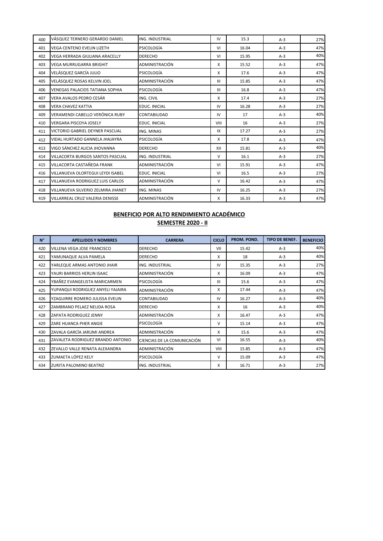| 400 | VÁSQUEZ TERNERO GERARDO DANIEL         | ING. INDUSTRIAL                              | IV                   | 15.3  | $A-3$ | 27% |
|-----|----------------------------------------|----------------------------------------------|----------------------|-------|-------|-----|
| 401 | <b>VEGA CENTENO EVELIN LIZETH</b>      | PSICOLOGÍA                                   | VI                   | 16.04 | $A-3$ | 47% |
| 402 | <b>VEGA HERRADA GIULIANA ARACELLY</b>  | <b>DERECHO</b>                               | VI                   | 15.95 | $A-3$ | 40% |
| 403 | <b>VEGA MURRUGARRA BRIGHIT</b>         | <b>ADMINISTRACIÓN</b><br>15.52<br>$A-3$<br>X |                      |       | 47%   |     |
| 404 | VELÁSQUEZ GARCÍA JULIO                 | PSICOLOGÍA                                   | X                    | 17.6  | $A-3$ | 47% |
| 405 | VELÁSQUEZ ROSAS KELVIN JOEL            | ADMINISTRACIÓN                               | $\mathbf{III}$       | 15.85 | $A-3$ | 47% |
| 406 | <b>VENEGAS PALACIOS TATIANA SOPHIA</b> | PSICOLOGÍA                                   | Ш                    | 16.8  | $A-3$ | 47% |
| 407 | VERA AVALOS PEDRO CESÁR                | ING. CIVIL                                   | X                    | 17.4  | $A-3$ | 27% |
| 408 | <b>VERA CHAVEZ KATTIA</b>              | <b>EDUC. INICIAL</b>                         | IV                   | 16.28 | $A-3$ | 27% |
| 409 | VERAMENDI CABELLO VERÓNICA RUBY        | <b>CONTABILIDAD</b>                          | IV                   | 17    | $A-3$ | 40% |
| 410 | <b>VERGARA PISCOYA JOSELY</b>          | <b>EDUC. INICIAL</b>                         | VIII                 | 16    | $A-3$ | 27% |
| 411 | VICTORIO GABRIEL DEYNER PASCUAL        | ING. MINAS                                   | IX<br>17.27<br>$A-3$ |       |       | 27% |
| 412 | VIDAL HURTADO GANNELA JHAJAYRA         | PSICOLOGÍA                                   | X                    | 17.8  | $A-3$ | 47% |
| 413 | VIGO SÁNCHEZ ALICIA JHOVANNA           | <b>DERECHO</b>                               | XII                  | 15.81 | $A-3$ | 40% |
| 414 | VILLACORTA BURGOS SANTOS PASCUAL       | <b>ING. INDUSTRIAL</b>                       | V                    | 16.1  | $A-3$ | 27% |
| 415 | VILLACORTA CASTAÑEDA FRANK             | ADMINISTRACIÓN                               | VI                   | 15.91 | $A-3$ | 47% |
| 416 | VILLANUEVA OLORTEGUI LEYDI ISABEL      | <b>EDUC. INICIAL</b>                         | VI                   | 16.5  | $A-3$ | 27% |
| 417 | VILLANUEVA RODRIGUEZ LUIS CARLOS       | ADMINISTRACIÓN                               | V                    | 16.42 | $A-3$ | 47% |
| 418 | VILLANUEVA SILVERIO ZELMIRA JHANET     | ING. MINAS                                   | IV                   | 16.25 | $A-3$ | 27% |
| 419 | VILLARREAL CRUZ VALERIA DENISSE        | ADMINISTRACIÓN                               | x                    | 16.33 | $A-3$ | 47% |

| $N^{\circ}$ | <b>APELLIDOS Y NOMBRES</b>        | <b>CARRERA</b>              | <b>CICLO</b>   | PROM. POND. | <b>TIPO DE BENEF.</b> | <b>BENEFICIO</b> |
|-------------|-----------------------------------|-----------------------------|----------------|-------------|-----------------------|------------------|
| 420         | VILLENA VEGA JOSE FRANCISCO       | <b>DERECHO</b>              | VII            | 15.42       | $A-3$                 | 40%              |
| 421         | YAMUNAQUE ALVA PAMELA             | <b>DERECHO</b>              | x              | 18          | $A-3$                 | 40%              |
| 422         | YARLEQUE ARMAS ANTONIO JHAIR      | ING. INDUSTRIAL             | IV             | 15.35       | $A-3$                 | 27%              |
| 423         | YAURI BARRIOS HERLIN ISAAC        | ADMINISTRACIÓN              | X              | 16.09       | $A-3$                 | 47%              |
| 424         | YBAÑEZ EVANGELISTA MARICARMEN     | PSICOLOGÍA                  | $\mathbf{III}$ | 15.6        | $A-3$                 | 47%              |
| 425         | YUPANQUI RODRIGUEZ ANYELI YAJAIRA | ADMINISTRACIÓN              | X              | 17.44       | $A-3$                 | 47%              |
| 426         | YZAGUIRRE ROMERO JULISSA EVELIN   | IV<br>16.27<br>CONTABILIDAD |                | $A-3$       | 40%                   |                  |
| 427         | ZAMBRANO PELAEZ NELIDA ROSA       | <b>DERECHO</b>              | X              | 16          | $A-3$                 | 40%              |
| 428         | ZAPATA RODRIGUEZ JENNY            | ADMINISTRACIÓN              | X              | 16.47       | $A-3$                 | 47%              |
| 429         | ZARE HUANCA PHER ANGIE            | PSICOLOGÍA                  | v              | 15.14       | $A-3$                 | 47%              |
| 430         | ZAVALA GARCÍA JARUMI ANDREA       | ADMINISTRACIÓN              | X              | 15.6        | $A-3$                 | 47%              |
| 431         | ZAVALETA RODRIGUEZ BRANDO ANTONIO | CIENCIAS DE LA COMUNICACIÓN | VI             | 16.55       | $A-3$                 | 40%              |
| 432         | ZEVALLO VALLE RENATA ALEXANDRA    | ADMINISTRACIÓN              | VIII           | 15.85       | $A-3$                 | 47%              |
| 433         | ZUMAETA LÓPEZ KELY                | PSICOLOGÍA                  | v              | 15.09       | $A-3$                 | 47%              |
| 434         | <b>ZURITA PALOMINO BEATRIZ</b>    | <b>ING. INDUSTRIAL</b>      | x              | 16.71       | $A-3$                 | 27%              |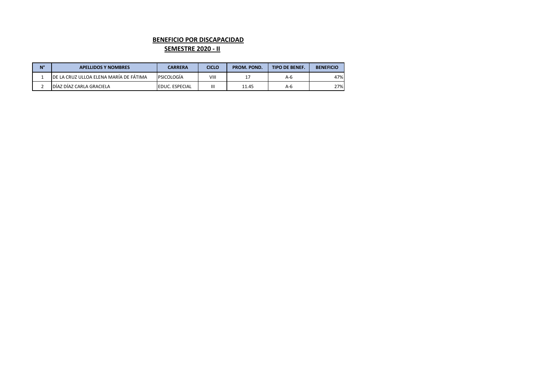#### **BENEFICIO POR DISCAPACIDAD**

#### **SEMESTRE 2020 - II**

| $N^{\circ}$ | <b>APELLIDOS Y NOMBRES</b>              | CARRERA                | <b>CICLO</b> | PROM. POND. | <b>TIPO DE BENEF.</b> | <b>BENEFICIO</b> |
|-------------|-----------------------------------------|------------------------|--------------|-------------|-----------------------|------------------|
|             | IDE LA CRUZ ULLOA ELENA MARÍA DE FÁTIMA | <b>PSICOLOGÍA</b>      | VIII         |             | A-6                   | 47%              |
|             | DÍAZ DÍAZ CARLA GRACIELA                | <b>IEDUC. ESPECIAL</b> | Ш            | 11.45       | A-6                   | 27%              |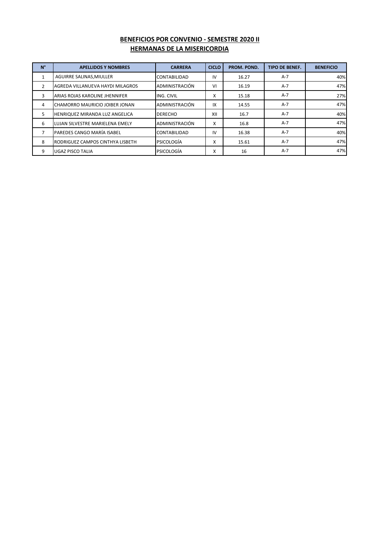# **BENEFICIOS POR CONVENIO - SEMESTRE 2020 II HERMANAS DE LA MISERICORDIA**

| $N^{\circ}$    | <b>APELLIDOS Y NOMBRES</b>       | <b>CARRERA</b>      | <b>CICLO</b> | PROM. POND. | <b>TIPO DE BENEF.</b> | <b>BENEFICIO</b> |
|----------------|----------------------------------|---------------------|--------------|-------------|-----------------------|------------------|
|                | AGUIRRE SALINAS, MIULLER         | <b>CONTABILIDAD</b> | ı٧           | 16.27       | $A-7$                 | 40%              |
| $\overline{2}$ | AGREDA VILLANUEVA HAYDI MILAGROS | ADMINISTRACIÓN      | VI           | 16.19       | $A-7$                 | 47%              |
| 3              | ARIAS ROJAS KAROLINE JHENNIFER   | ING. CIVIL          | x            | 15.18       | $A-7$                 | 27%              |
| 4              | CHAMORRO MAURICIO JOIBER JONAN   | ADMINISTRACIÓN      | IX           | 14.55       | $A-7$                 | 47%              |
| 5              | HENRIQUEZ MIRANDA LUZ ANGELICA   | <b>DERECHO</b>      | XII          | 16.7        | $A-7$                 | 40%              |
| 6              | LUJAN SILVESTRE MARIELENA EMELY  | ADMINISTRACIÓN      | x            | 16.8        | $A-7$                 | 47%              |
|                | PAREDES CANGO MARÍA ISABEL       | <b>CONTABILIDAD</b> | IV           | 16.38       | $A-7$                 | 40%              |
| 8              | RODRIGUEZ CAMPOS CINTHYA LISBETH | PSICOLOGÍA          | x            | 15.61       | $A-7$                 | 47%              |
| 9              | <b>UGAZ PISCO TALIA</b>          | PSICOLOGÍA          | X            | 16          | A-7                   | 47%              |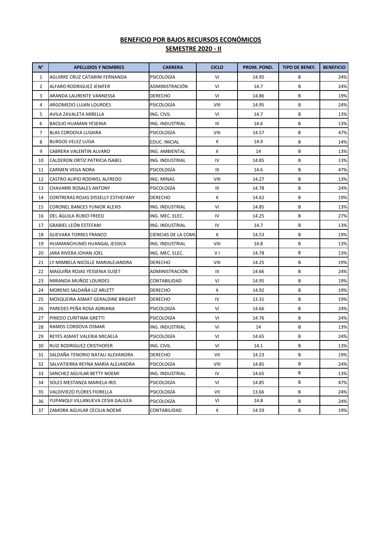# **BENEFICIO POR BAJOS RECURSOS ECONÓMICOS SEMESTRE 2020 - II**

| $N^{\circ}$    | <b>APELLIDOS Y NOMBRES</b>         | <b>CARRERA</b>                   | <b>CICLO</b> | PROM. POND. | <b>TIPO DE BENEF.</b> | <b>BENEFICIO</b> |
|----------------|------------------------------------|----------------------------------|--------------|-------------|-----------------------|------------------|
| 1              | AGUIRRE CRUZ CATARINI FERNANDA     | PSICOLOGÍA                       | VI           | 14.95       | В                     | 24%              |
| $\overline{2}$ | <b>ALFARO RODRIGUEZ JENIFER</b>    | ADMINISTRACIÓN                   | VI           | 14.7        | В                     | 24%              |
| 3              | ARANDA LAURENTE VANNESSA           | DERECHO                          | VI           | 14.86       | В                     | 19%              |
| 4              | ARGOMEDO LUJAN LOURDES             | PSICOLOGÍA                       | VIII         | 14.95       | В                     | 24%              |
| 5              | AVILA ZAVALETA MIRELLA             | ING. CIVIL                       | VI           | 14.7        | В                     | 13%              |
| 6              | <b>BACILIO HUAMAN YESENIA</b>      | ING. INDUSTRIAL                  | Ш            | 14.6        | В                     | 13%              |
| 7              | BLAS CORDOVA LUSAIRA               | В<br>PSICOLOGÍA<br>VIII<br>14.57 |              |             | 47%                   |                  |
| 8              | <b>BURGOS VELEZ LUISA</b>          | EDUC. INICIAL                    | Χ            | 14.9        | В                     | 14%              |
| 9              | CABRERA VALENTIN ALVARO            | ING. AMBIENTAL                   | Χ            | 14          | В                     | 13%              |
| 10             | CALDERON ORTIZ PATRICIA ISABEL     | ING. INDUSTRIAL                  | IV           | 14.85       | В                     | 13%              |
| 11             | CARMEN VEGA NORA                   | PSICOLOGÍA                       | Ш            | 14.6        | В                     | 47%              |
| 12             | CASTRO ALIPIO RODWEL ALFREDO       | ING. MINAS                       | VIII         | 14.27       | В                     | 13%              |
| 13             | CHAVARRI ROSALES ANTONY            | PSICOLOGÍA                       | III          | 14.78       | В                     | 24%              |
| 14             | CONTRERAS ROJAS DISSELLY ESTHEFANY | DERECHO                          | Χ            | 14.62       | В                     | 19%              |
| 15             | CORONEL BANCES YUNIOR ALEXIS       | ING. INDUSTRIAL                  | VI           | 14.85       | В                     | 13%              |
| 16             | DEL AGUILA RUBIO FREED             | ING. MEC. ELEC.                  | IV           | 14.25       | В                     | 27%              |
| 17             | <b>GRABIEL LEÓN ESTEFANI</b>       | ING. INDUSTRIAL                  | IV           | 14.7        | В                     | 13%              |
| 18             | <b>GUEVARA TORRES FRANCO</b>       | CIENCIAS DE LA COMU              | Χ            | 14.53       | В                     | 19%              |
| 19             | HUAMANCHUMO HUANGAL JESSICA        | ING. INDUSTRIAL                  | VIII         | 14.8        | В                     | 13%              |
| 20             | JARA RIVERA JOHAN JOEL             | ING. MEC. ELEC.                  | V I          | 14.78       | В                     | 13%              |
| 21             | LY MIMBELA NICOLLE MARIALEJANDRA   | DERECHO                          | VIII         | 14.25       | В                     | 19%              |
| 22             | MAGUIÑA ROJAS YESSENIA SUSET       | ADMINISTRACIÓN                   | Ш            | 14.66       | В                     | 24%              |
| 23             | MIRANDA MUÑOZ LOURDES              | CONTABILIDAD                     | VI           | 14.95       | В                     | 19%              |
| 24             | MORENO SALDAÑA LIZ ARLETT          | DERECHO                          | Χ            | 14.92       | В                     | 19%              |
| 25             | MOSQUEIRA ASMAT GERALDINE BRIGHIT  | DERECHO                          | IV           | 13.31       | В                     | 19%              |
| 26             | PAREDES PEÑA ROSA ADRIANA          | PSICOLOGIA                       | VI           | 14.66       | В                     | 24%              |
| 27             | PINEDO CURITIMA GRETTI             | PSICOLOGÍA                       | VI           | 14.76       | В                     | 24%              |
| 28             | RAMOS CORDOVA OSMAR                | ING. INDUSTRIAL                  | VI           | 14          | В                     | 13%              |
| 29             | REYES ASMAT VALERIA MICAELA        | PSICOLOGÍA                       | VI           | 14.65       | В                     | 24%              |
| 30             | <b>RUIZ RODRIGUEZ CRISTHOFER</b>   | ING. CIVIL                       | VI           | 14.1        | В                     | 13%              |
| 31             | SALDAÑA TENORIO NATALI ALEXANDRA   | DERECHO                          | VII          | 14.23       | В                     | 19%              |
| 32             | SALVATIERRA REYNA MARÍA ALEJANDRA  | PSICOLOGÍA                       | VIII         | 14.85       | B                     | 24%              |
| 33             | SANCHEZ AGUILAR BETTY NOEMI        | ING. INDUSTRIAL                  | IV           | 14.65       | В                     | 13%              |
| 34             | SOLES MESTANZA MARIELA IRIS        | PSICOLOGÍA                       | VI           | 14.85       | В                     | 47%              |
| 35             | VALDIVIEZO FLORES FIORELLA         | PSICOLOGÍA                       | VII          | 13.66       | В                     | 24%              |
| 36             | YUPANQUI VILLANUEVA CESIA GALILEA  | PSICOLOGÍA                       | VI           | 14.8        | В                     | 24%              |
| 37             | ZAMORA AGUILAR CECILIA NOEMÍ       | CONTABILIDAD                     | x            | 14.59       | В                     | 19%              |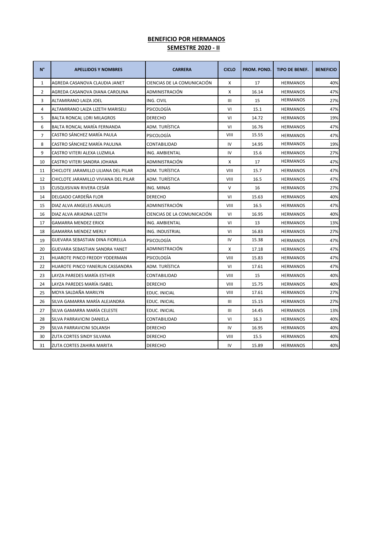## **BENEFICIO POR HERMANOS SEMESTRE 2020 - II**

| N°             | <b>APELLIDOS Y NOMBRES</b>           | <b>CARRERA</b>              | <b>CICLO</b> | PROM. POND. | <b>TIPO DE BENEF.</b> | <b>BENEFICIO</b> |
|----------------|--------------------------------------|-----------------------------|--------------|-------------|-----------------------|------------------|
| $\mathbf{1}$   | AGREDA CASANOVA CLAUDIA JANET        | CIENCIAS DE LA COMUNICACIÓN | X            | 17          | <b>HERMANOS</b>       | 40%              |
| $\overline{2}$ | AGREDA CASANOVA DIANA CAROLINA       | ADMINISTRACIÓN              | X            | 16.14       | <b>HERMANOS</b>       | 47%              |
| 3              | ALTAMIRANO LAIZA JOEL                | ING. CIVIL                  | Ш            | 15          | <b>HERMANOS</b>       | 27%              |
| 4              | ALTAMIRANO LAIZA LIZETH MARISELI     | PSICOLOGÍA                  | VI           | 15.1        | <b>HERMANOS</b>       | 47%              |
| 5              | <b>BALTA RONCAL LORI MILAGROS</b>    | <b>DERECHO</b>              | VI           | 14.72       | <b>HERMANOS</b>       | 19%              |
| 6              | BALTA RONCAL MARÍA FERNANDA          | ADM. TURÍSTICA              | VI           | 16.76       | <b>HERMANOS</b>       | 47%              |
| $\overline{7}$ | CASTRO SÁNCHEZ MARÍA PAULA           | PSICOLOGÍA                  | VIII         | 15.55       | <b>HERMANOS</b>       | 47%              |
| 8              | CASTRO SÁNCHEZ MARÍA PAULINA         | CONTABILIDAD                | IV           | 14.95       | <b>HERMANOS</b>       | 19%              |
| 9              | CASTRO VITERI ALEXA LUZMILA          | ING. AMBIENTAL              | IV           | 15.6        | <b>HERMANOS</b>       | 27%              |
| 10             | CASTRO VITERI SANDRA JOHANA          | ADMINISTRACIÓN              | X            | 17          | <b>HERMANOS</b>       | 47%              |
| 11             | CHICLOTE JARAMILLO LILIANA DEL PILAR | ADM. TURÍSTICA              | VIII         | 15.7        | <b>HERMANOS</b>       | 47%              |
| 12             | CHICLOTE JARAMILLO VIVIANA DEL PILAR | ADM. TURÍSTICA              | VIII         | 16.5        | <b>HERMANOS</b>       | 47%              |
| 13             | CUSQUISIVAN RIVERA CESÁR             | ING. MINAS                  | $\vee$       | 16          | <b>HERMANOS</b>       | 27%              |
| 14             | DELGADO CARDEÑA FLOR                 | <b>DERECHO</b>              | VI           | 15.63       | <b>HERMANOS</b>       | 40%              |
| 15             | DIAZ ALVA ANGELES ANALUIS            | ADMINISTRACIÓN              | VIII         | 16.5        | <b>HERMANOS</b>       | 47%              |
| 16             | DIAZ ALVA ARIADNA LIZETH             | CIENCIAS DE LA COMUNICACIÓN | VI           | 16.95       | <b>HERMANOS</b>       | 40%              |
| 17             | <b>GAMARRA MENDEZ ERICK</b>          | ING. AMBIENTAL              | VI           | 13          | <b>HERMANOS</b>       | 13%              |
| 18             | <b>GAMARRA MENDEZ MERLY</b>          | ING. INDUSTRIAL             | VI           | 16.83       | <b>HERMANOS</b>       | 27%              |
| 19             | GUEVARA SEBASTIAN DINA FIORELLA      | PSICOLOGÍA                  | IV           | 15.38       | <b>HERMANOS</b>       | 47%              |
| 20             | GUEVARA SEBASTIAN SANDRA YANET       | ADMINISTRACIÓN              | X            | 17.18       | <b>HERMANOS</b>       | 47%              |
| 21             | HUAROTE PINCO FREDDY YDDERMAN        | PSICOLOGÍA                  | VIII         | 15.83       | <b>HERMANOS</b>       | 47%              |
| 22             | HUAROTE PINCO YANERLIN CASSANDRA     | ADM. TURÍSTICA              | VI           | 17.61       | <b>HERMANOS</b>       | 47%              |
| 23             | LAYZA PAREDES MARÍA ESTHER           | CONTABILIDAD                | VIII         | 15          | <b>HERMANOS</b>       | 40%              |
| 24             | LAYZA PAREDES MARÍA ISABEL           | <b>DERECHO</b>              | VIII         | 15.75       | <b>HERMANOS</b>       | 40%              |
| 25             | MOYA SALDAÑA MARILYN                 | EDUC. INICIAL               | VIII         | 17.61       | <b>HERMANOS</b>       | 27%              |
| 26             | SILVA GAMARRA MARÍA ALEJANDRA        | EDUC. INICIAL               | Ш            | 15.15       | <b>HERMANOS</b>       | 27%              |
| 27             | SILVA GAMARRA MARÍA CELESTE          | EDUC. INICIAL               | Ш            | 14.45       | <b>HERMANOS</b>       | 13%              |
| 28             | SILVA PARRAVICINI DANIELA            | CONTABILIDAD                | VI           | 16.3        | <b>HERMANOS</b>       | 40%              |
| 29             | SILVA PARRAVICINI SOLANSH            | <b>DERECHO</b>              | IV           | 16.95       | <b>HERMANOS</b>       | 40%              |
| 30             | ZUTA CORTES SINDY SILVANA            | <b>DERECHO</b>              | VIII         | 15.5        | <b>HERMANOS</b>       | 40%              |
| 31             | ZUTA CORTES ZAHIRA MARITA            | <b>DERECHO</b>              | IV           | 15.89       | <b>HERMANOS</b>       | 40%              |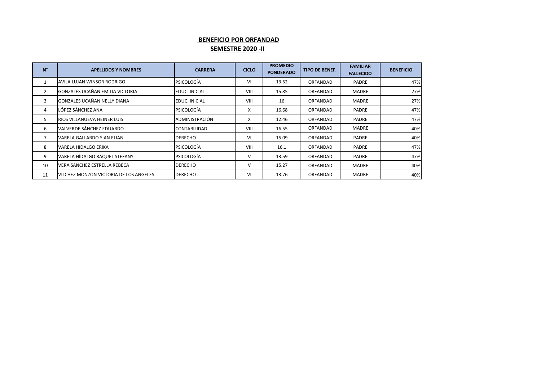# **BENEFICIO POR ORFANDAD SEMESTRE 2020 -II**

| $N^{\circ}$    | <b>APELLIDOS Y NOMBRES</b>             | <b>CARRERA</b>       | <b>CICLO</b> | <b>PROMEDIO</b><br><b>PONDERADO</b> | <b>TIPO DE BENEF.</b> | <b>FAMILIAR</b><br><b>FALLECIDO</b> | <b>BENEFICIO</b> |
|----------------|----------------------------------------|----------------------|--------------|-------------------------------------|-----------------------|-------------------------------------|------------------|
|                | AVILA LUJAN WINSOR RODRIGO             | <b>PSICOLOGÍA</b>    | VI           | 13.52                               | ORFANDAD              | <b>PADRE</b>                        | 47%              |
| 2              | <b>GONZALES UCAÑAN EMILIA VICTORIA</b> | EDUC. INICIAL        | VIII         | 15.85                               | ORFANDAD              | <b>MADRE</b>                        | 27%              |
| 3              | GONZALES UCAÑAN NELLY DIANA            | <b>EDUC. INICIAL</b> | VIII         | 16                                  | ORFANDAD              | MADRE                               | 27%              |
| 4              | LÓPEZ SÁNCHEZ ANA                      | <b>PSICOLOGÍA</b>    | X            | 16.68                               | ORFANDAD              | PADRE                               | 47%              |
| 5              | RIOS VILLANUEVA HEINER LUIS            | ADMINISTRACIÓN       | X            | 12.46                               | ORFANDAD              | PADRE                               | 47%              |
| 6              | VALVERDE SÁNCHEZ EDUARDO               | CONTABILIDAD         | VIII         | 16.55                               | ORFANDAD              | <b>MADRE</b>                        | 40%              |
| $\overline{ }$ | VARELA GALLARDO YIAN ELIAN             | <b>DERECHO</b>       | VI           | 15.09                               | ORFANDAD              | PADRE                               | 40%              |
| 8              | VARELA HIDALGO ERIKA                   | <b>PSICOLOGÍA</b>    | VIII         | 16.1                                | ORFANDAD              | PADRE                               | 47%              |
| 9              | VARELA HÍDALGO RAQUEL STEFANY          | <b>PSICOLOGÍA</b>    | V            | 13.59                               | ORFANDAD              | <b>PADRE</b>                        | 47%              |
| 10             | VERA SÁNCHEZ ESTRELLA REBECA           | <b>DERECHO</b>       | V            | 15.27                               | ORFANDAD              | <b>MADRE</b>                        | 40%              |
| 11             | VILCHEZ MONZON VICTORIA DE LOS ANGELES | <b>DERECHO</b>       | VI           | 13.76                               | ORFANDAD              | <b>MADRE</b>                        | 40%              |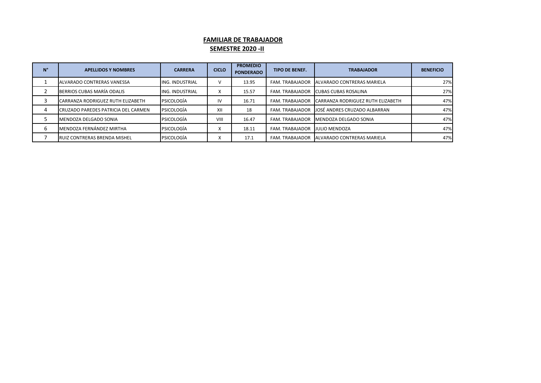## **FAMILIAR DE TRABAJADOR SEMESTRE 2020 -II**

| N° | <b>APELLIDOS Y NOMBRES</b>           | <b>CARRERA</b>         | <b>CICLO</b> | <b>PROMEDIO</b><br><b>PONDERADO</b> | <b>TIPO DE BENEF.</b>          | <b>TRABAJADOR</b>                        | <b>BENEFICIO</b> |
|----|--------------------------------------|------------------------|--------------|-------------------------------------|--------------------------------|------------------------------------------|------------------|
|    | ALVARADO CONTRERAS VANESSA           | <b>ING. INDUSTRIAL</b> |              | 13.95                               | FAM. TRABAJADOR                | <b>IALVARADO CONTRERAS MARIELA</b>       | 27%              |
|    | BERRIOS CUBAS MARÍA ODALIS           | ING. INDUSTRIAL        | ⋏            | 15.57                               | FAM. TRABAJADOR                | CUBAS CUBAS ROSALINA                     | 27%              |
|    | CARRANZA RODRIGUEZ RUTH ELIZABETH    | PSICOLOGÍA             | IV           | 16.71                               | FAM. TRABAJADOR                | <b>CARRANZA RODRIGUEZ RUTH ELIZABETH</b> | 47%              |
| 4  | CRUZADO PAREDES PATRICIA DEL CARMEN  | PSICOLOGÍA             | XII          | 18                                  | FAM. TRABAJADOR                | JOSÉ ANDRES CRUZADO ALBARRAN             | 47%              |
|    | IMENDOZA DELGADO SONIA               | PSICOLOGÍA             | VIII         | 16.47                               | FAM. TRABAJADOR                | IMENDOZA DELGADO SONIA                   | 47%              |
| h  | MENDOZA FERNÁNDEZ MIRTHA             | PSICOLOGÍA             |              | 18.11                               | FAM. TRABAJADOR IJULIO MENDOZA |                                          | 47%              |
|    | <b>IRUIZ CONTRERAS BRENDA MISHEL</b> | PSICOLOGÍA             |              | 17.1                                | FAM. TRABAJADOR                | <b>IALVARADO CONTRERAS MARIELA</b>       | 47%              |